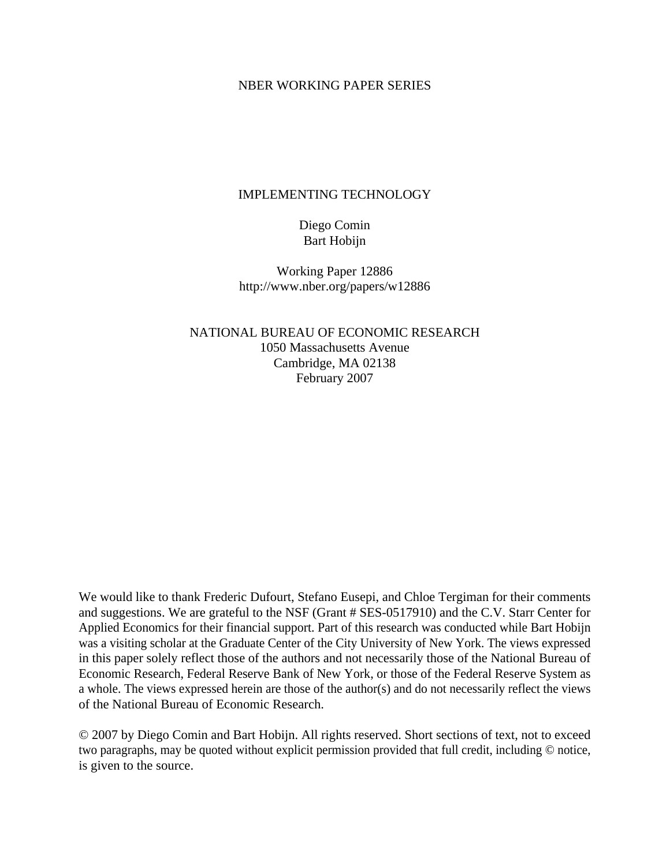### NBER WORKING PAPER SERIES

### IMPLEMENTING TECHNOLOGY

Diego Comin Bart Hobijn

Working Paper 12886 http://www.nber.org/papers/w12886

NATIONAL BUREAU OF ECONOMIC RESEARCH 1050 Massachusetts Avenue Cambridge, MA 02138 February 2007

We would like to thank Frederic Dufourt, Stefano Eusepi, and Chloe Tergiman for their comments and suggestions. We are grateful to the NSF (Grant # SES-0517910) and the C.V. Starr Center for Applied Economics for their financial support. Part of this research was conducted while Bart Hobijn was a visiting scholar at the Graduate Center of the City University of New York. The views expressed in this paper solely reflect those of the authors and not necessarily those of the National Bureau of Economic Research, Federal Reserve Bank of New York, or those of the Federal Reserve System as a whole. The views expressed herein are those of the author(s) and do not necessarily reflect the views of the National Bureau of Economic Research.

© 2007 by Diego Comin and Bart Hobijn. All rights reserved. Short sections of text, not to exceed two paragraphs, may be quoted without explicit permission provided that full credit, including © notice, is given to the source.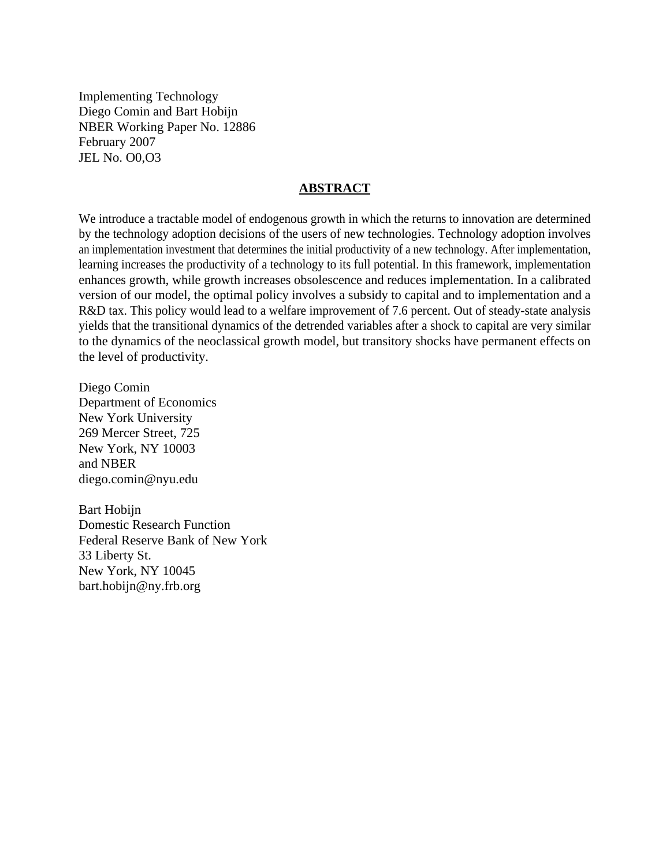Implementing Technology Diego Comin and Bart Hobijn NBER Working Paper No. 12886 February 2007 JEL No. O0,O3

### **ABSTRACT**

We introduce a tractable model of endogenous growth in which the returns to innovation are determined by the technology adoption decisions of the users of new technologies. Technology adoption involves an implementation investment that determines the initial productivity of a new technology. After implementation, learning increases the productivity of a technology to its full potential. In this framework, implementation enhances growth, while growth increases obsolescence and reduces implementation. In a calibrated version of our model, the optimal policy involves a subsidy to capital and to implementation and a R&D tax. This policy would lead to a welfare improvement of 7.6 percent. Out of steady-state analysis yields that the transitional dynamics of the detrended variables after a shock to capital are very similar to the dynamics of the neoclassical growth model, but transitory shocks have permanent effects on the level of productivity.

Diego Comin Department of Economics New York University 269 Mercer Street, 725 New York, NY 10003 and NBER diego.comin@nyu.edu

Bart Hobijn Domestic Research Function Federal Reserve Bank of New York 33 Liberty St. New York, NY 10045 bart.hobijn@ny.frb.org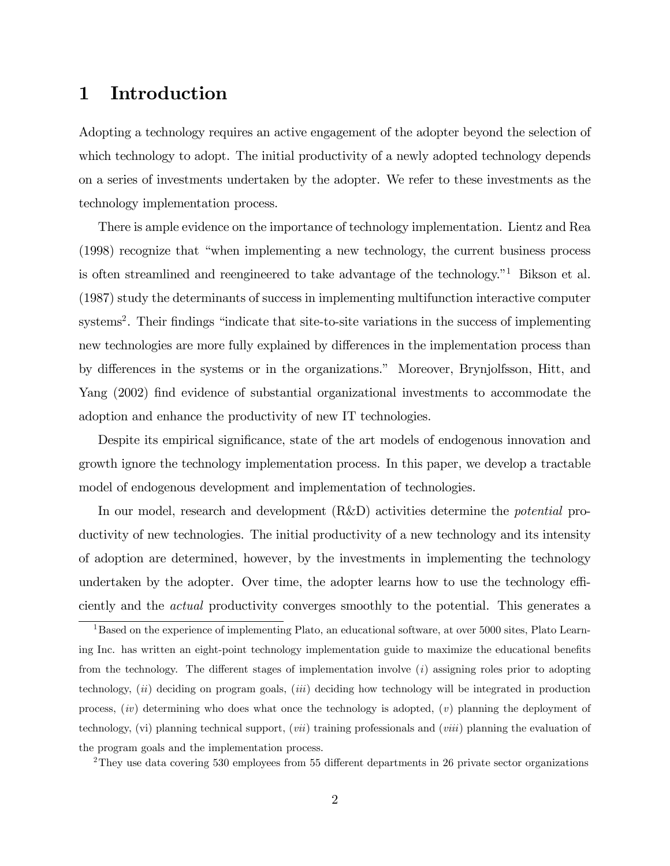## 1 Introduction

Adopting a technology requires an active engagement of the adopter beyond the selection of which technology to adopt. The initial productivity of a newly adopted technology depends on a series of investments undertaken by the adopter. We refer to these investments as the technology implementation process.

There is ample evidence on the importance of technology implementation. Lientz and Rea  $(1998)$  recognize that "when implementing a new technology, the current business process is often streamlined and reengineered to take advantage of the technology.<sup> $n_1$ </sup> Bikson et al. (1987) study the determinants of success in implementing multifunction interactive computer systems<sup>2</sup>. Their findings "indicate that site-to-site variations in the success of implementing new technologies are more fully explained by differences in the implementation process than by differences in the systems or in the organizations." Moreover, Brynjolfsson, Hitt, and Yang (2002) find evidence of substantial organizational investments to accommodate the adoption and enhance the productivity of new IT technologies.

Despite its empirical significance, state of the art models of endogenous innovation and growth ignore the technology implementation process. In this paper, we develop a tractable model of endogenous development and implementation of technologies.

In our model, research and development (R&D) activities determine the potential productivity of new technologies. The initial productivity of a new technology and its intensity of adoption are determined, however, by the investments in implementing the technology undertaken by the adopter. Over time, the adopter learns how to use the technology efficiently and the actual productivity converges smoothly to the potential. This generates a

<sup>2</sup>They use data covering 530 employees from 55 different departments in 26 private sector organizations

<sup>1</sup>Based on the experience of implementing Plato, an educational software, at over 5000 sites, Plato Learning Inc. has written an eight-point technology implementation guide to maximize the educational benefits from the technology. The different stages of implementation involve  $(i)$  assigning roles prior to adopting technology,  $(ii)$  deciding on program goals,  $(iii)$  deciding how technology will be integrated in production process,  $(iv)$  determining who does what once the technology is adopted,  $(v)$  planning the deployment of technology, (vi) planning technical support, (vii) training professionals and (viii) planning the evaluation of the program goals and the implementation process.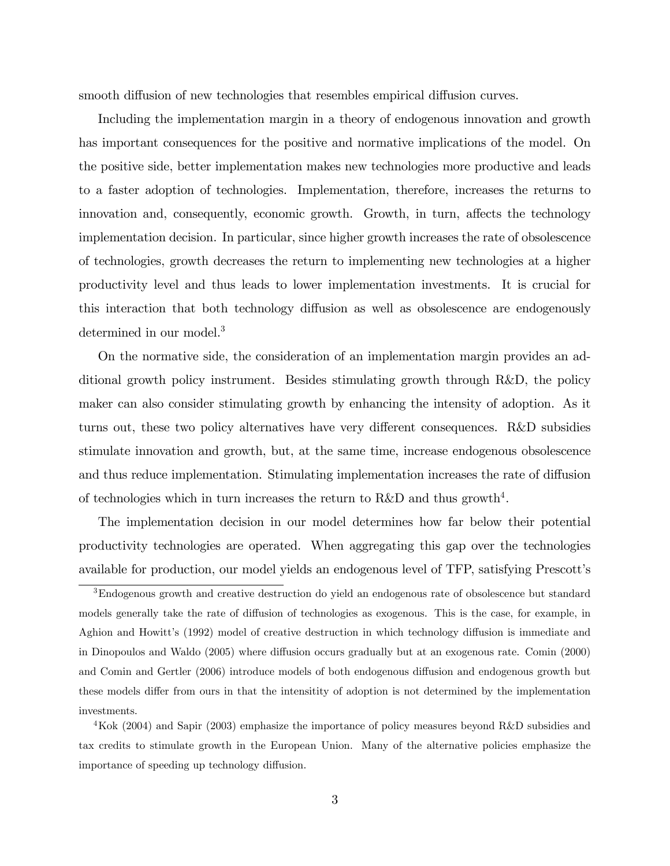smooth diffusion of new technologies that resembles empirical diffusion curves.

Including the implementation margin in a theory of endogenous innovation and growth has important consequences for the positive and normative implications of the model. On the positive side, better implementation makes new technologies more productive and leads to a faster adoption of technologies. Implementation, therefore, increases the returns to innovation and, consequently, economic growth. Growth, in turn, affects the technology implementation decision. In particular, since higher growth increases the rate of obsolescence of technologies, growth decreases the return to implementing new technologies at a higher productivity level and thus leads to lower implementation investments. It is crucial for this interaction that both technology diffusion as well as obsolescence are endogenously determined in our model.<sup>3</sup>

On the normative side, the consideration of an implementation margin provides an additional growth policy instrument. Besides stimulating growth through R&D, the policy maker can also consider stimulating growth by enhancing the intensity of adoption. As it turns out, these two policy alternatives have very different consequences. R&D subsidies stimulate innovation and growth, but, at the same time, increase endogenous obsolescence and thus reduce implementation. Stimulating implementation increases the rate of diffusion of technologies which in turn increases the return to R&D and thus growth<sup>4</sup>.

The implementation decision in our model determines how far below their potential productivity technologies are operated. When aggregating this gap over the technologies available for production, our model yields an endogenous level of TFP, satisfying Prescottís

<sup>3</sup>Endogenous growth and creative destruction do yield an endogenous rate of obsolescence but standard models generally take the rate of diffusion of technologies as exogenous. This is the case, for example, in Aghion and Howitt's (1992) model of creative destruction in which technology diffusion is immediate and in Dinopoulos and Waldo (2005) where diffusion occurs gradually but at an exogenous rate. Comin (2000) and Comin and Gertler (2006) introduce models of both endogenous diffusion and endogenous growth but these models differ from ours in that the intensitity of adoption is not determined by the implementation investments.

<sup>&</sup>lt;sup>4</sup>Kok (2004) and Sapir (2003) emphasize the importance of policy measures beyond R&D subsidies and tax credits to stimulate growth in the European Union. Many of the alternative policies emphasize the importance of speeding up technology diffusion.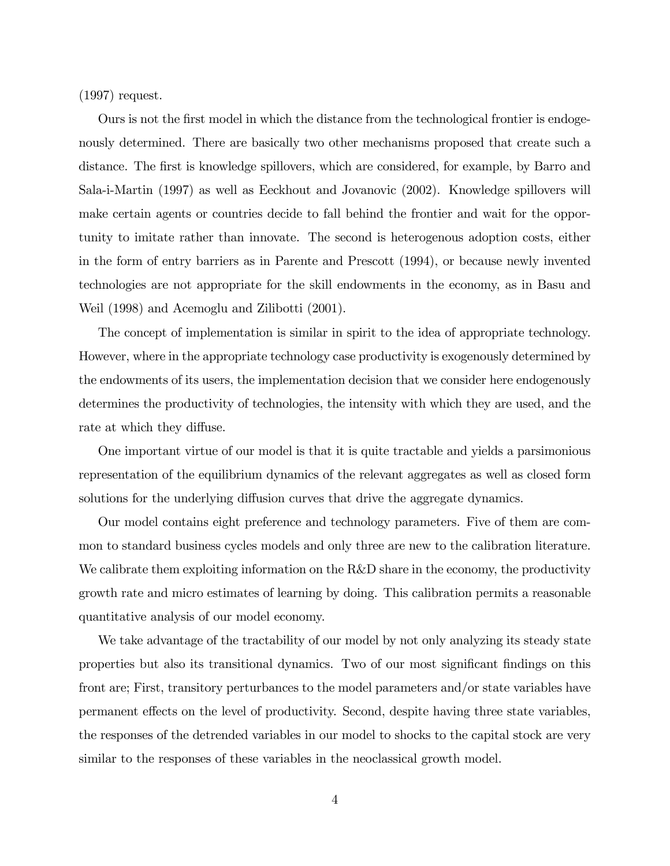(1997) request.

Ours is not the first model in which the distance from the technological frontier is endogenously determined. There are basically two other mechanisms proposed that create such a distance. The first is knowledge spillovers, which are considered, for example, by Barro and Sala-i-Martin (1997) as well as Eeckhout and Jovanovic (2002). Knowledge spillovers will make certain agents or countries decide to fall behind the frontier and wait for the opportunity to imitate rather than innovate. The second is heterogenous adoption costs, either in the form of entry barriers as in Parente and Prescott (1994), or because newly invented technologies are not appropriate for the skill endowments in the economy, as in Basu and Weil (1998) and Acemoglu and Zilibotti (2001).

The concept of implementation is similar in spirit to the idea of appropriate technology. However, where in the appropriate technology case productivity is exogenously determined by the endowments of its users, the implementation decision that we consider here endogenously determines the productivity of technologies, the intensity with which they are used, and the rate at which they diffuse.

One important virtue of our model is that it is quite tractable and yields a parsimonious representation of the equilibrium dynamics of the relevant aggregates as well as closed form solutions for the underlying diffusion curves that drive the aggregate dynamics.

Our model contains eight preference and technology parameters. Five of them are common to standard business cycles models and only three are new to the calibration literature. We calibrate them exploiting information on the R&D share in the economy, the productivity growth rate and micro estimates of learning by doing. This calibration permits a reasonable quantitative analysis of our model economy.

We take advantage of the tractability of our model by not only analyzing its steady state properties but also its transitional dynamics. Two of our most significant findings on this front are; First, transitory perturbances to the model parameters and/or state variables have permanent effects on the level of productivity. Second, despite having three state variables, the responses of the detrended variables in our model to shocks to the capital stock are very similar to the responses of these variables in the neoclassical growth model.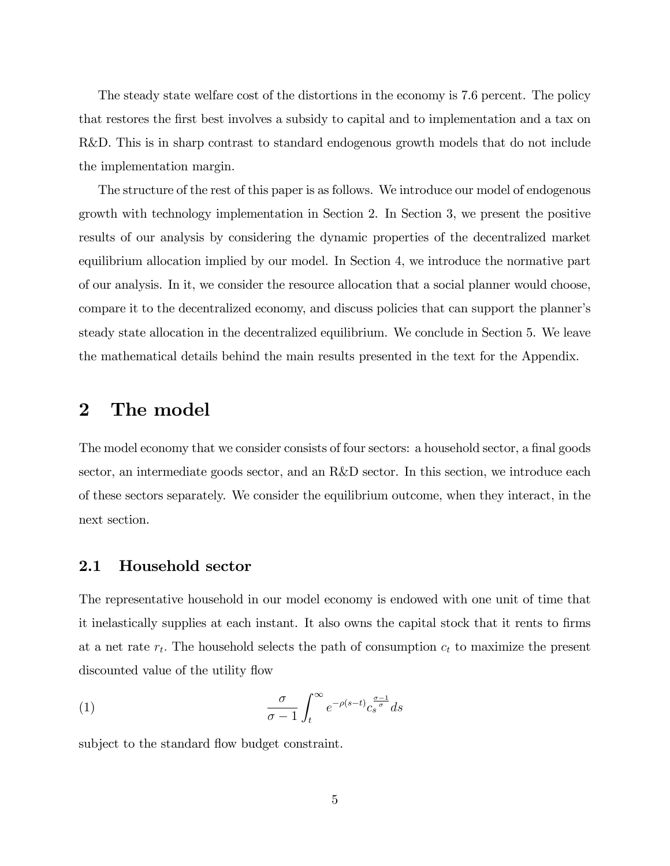The steady state welfare cost of the distortions in the economy is 7.6 percent. The policy that restores the first best involves a subsidy to capital and to implementation and a tax on R&D. This is in sharp contrast to standard endogenous growth models that do not include the implementation margin.

The structure of the rest of this paper is as follows. We introduce our model of endogenous growth with technology implementation in Section 2. In Section 3, we present the positive results of our analysis by considering the dynamic properties of the decentralized market equilibrium allocation implied by our model. In Section 4, we introduce the normative part of our analysis. In it, we consider the resource allocation that a social planner would choose, compare it to the decentralized economy, and discuss policies that can support the planner's steady state allocation in the decentralized equilibrium. We conclude in Section 5. We leave the mathematical details behind the main results presented in the text for the Appendix.

## 2 The model

The model economy that we consider consists of four sectors: a household sector, a final goods sector, an intermediate goods sector, and an R&D sector. In this section, we introduce each of these sectors separately. We consider the equilibrium outcome, when they interact, in the next section.

## 2.1 Household sector

The representative household in our model economy is endowed with one unit of time that it inelastically supplies at each instant. It also owns the capital stock that it rents to firms at a net rate  $r_t$ . The household selects the path of consumption  $c_t$  to maximize the present discounted value of the utility flow

(1) 
$$
\frac{\sigma}{\sigma - 1} \int_{t}^{\infty} e^{-\rho(s-t)} c_s^{\frac{\sigma - 1}{\sigma}} ds
$$

subject to the standard flow budget constraint.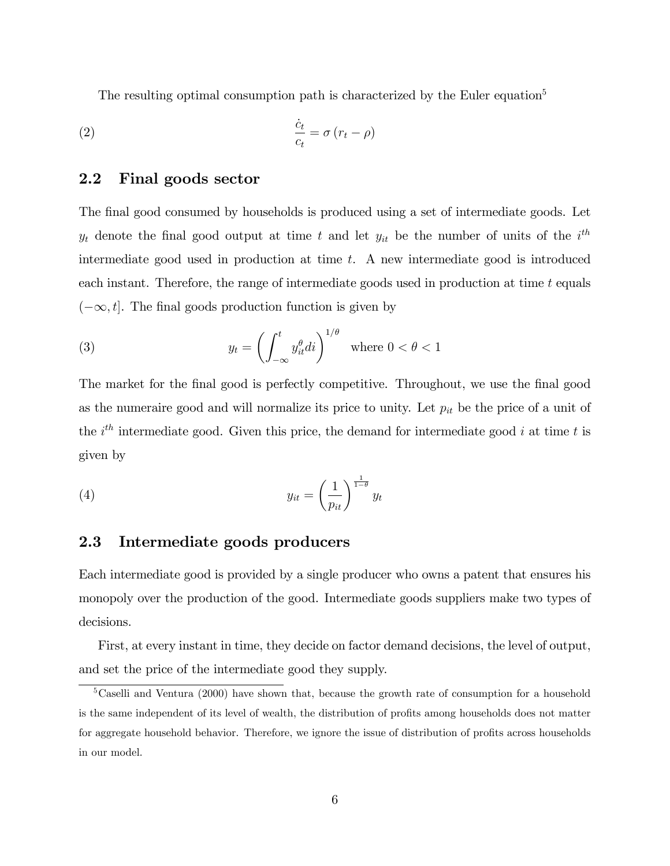The resulting optimal consumption path is characterized by the Euler equation<sup>5</sup>

$$
\frac{\dot{c}_t}{c_t} = \sigma (r_t - \rho)
$$

## 2.2 Final goods sector

The final good consumed by households is produced using a set of intermediate goods. Let  $y_t$  denote the final good output at time t and let  $y_{it}$  be the number of units of the  $i^{th}$ intermediate good used in production at time t. A new intermediate good is introduced each instant. Therefore, the range of intermediate goods used in production at time t equals  $(-\infty, t]$ . The final goods production function is given by

(3) 
$$
y_t = \left(\int_{-\infty}^t y_{it}^{\theta} di\right)^{1/\theta} \text{ where } 0 < \theta < 1
$$

The market for the final good is perfectly competitive. Throughout, we use the final good as the numeraire good and will normalize its price to unity. Let  $p_{it}$  be the price of a unit of the  $i^{th}$  intermediate good. Given this price, the demand for intermediate good i at time t is given by

(4) 
$$
y_{it} = \left(\frac{1}{p_{it}}\right)^{\frac{1}{1-\theta}} y_t
$$

## 2.3 Intermediate goods producers

Each intermediate good is provided by a single producer who owns a patent that ensures his monopoly over the production of the good. Intermediate goods suppliers make two types of decisions.

First, at every instant in time, they decide on factor demand decisions, the level of output, and set the price of the intermediate good they supply.

<sup>&</sup>lt;sup>5</sup>Caselli and Ventura (2000) have shown that, because the growth rate of consumption for a household is the same independent of its level of wealth, the distribution of profits among households does not matter for aggregate household behavior. Therefore, we ignore the issue of distribution of profits across households in our model.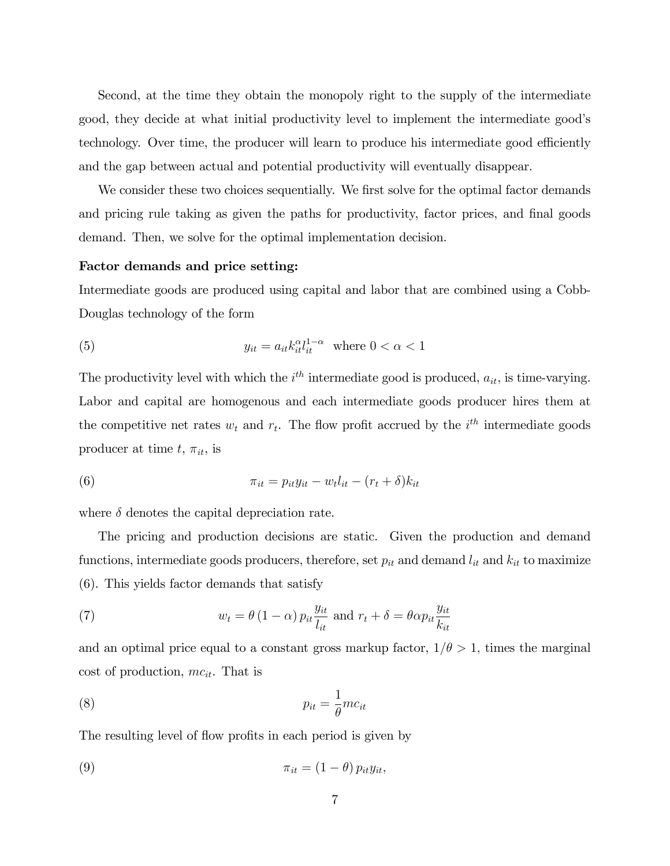Second, at the time they obtain the monopoly right to the supply of the intermediate good, they decide at what initial productivity level to implement the intermediate good's technology. Over time, the producer will learn to produce his intermediate good efficiently and the gap between actual and potential productivity will eventually disappear.

We consider these two choices sequentially. We first solve for the optimal factor demands and pricing rule taking as given the paths for productivity, factor prices, and final goods demand. Then, we solve for the optimal implementation decision.

#### Factor demands and price setting:

Intermediate goods are produced using capital and labor that are combined using a Cobb-Douglas technology of the form

(5) 
$$
y_{it} = a_{it} k_{it}^{\alpha} l_{it}^{1-\alpha} \text{ where } 0 < \alpha < 1
$$

The productivity level with which the  $i^{th}$  intermediate good is produced,  $a_{it}$ , is time-varying. Labor and capital are homogenous and each intermediate goods producer hires them at the competitive net rates  $w_t$  and  $r_t$ . The flow profit accrued by the  $i^{th}$  intermediate goods producer at time  $t, \pi_{it}$ , is

(6) 
$$
\pi_{it} = p_{it} y_{it} - w_t l_{it} - (r_t + \delta) k_{it}
$$

where  $\delta$  denotes the capital depreciation rate.

The pricing and production decisions are static. Given the production and demand functions, intermediate goods producers, therefore, set  $p_{it}$  and demand  $l_{it}$  and  $k_{it}$  to maximize (6). This yields factor demands that satisfy

(7) 
$$
w_t = \theta (1 - \alpha) p_{it} \frac{y_{it}}{l_{it}} \text{ and } r_t + \delta = \theta \alpha p_{it} \frac{y_{it}}{k_{it}}
$$

and an optimal price equal to a constant gross markup factor,  $1/\theta > 1$ , times the marginal cost of production,  $mc_{it}$ . That is

$$
p_{it} = \frac{1}{\theta}mc_{it}
$$

The resulting level of flow profits in each period is given by

(9) 
$$
\pi_{it} = (1 - \theta) p_{it} y_{it},
$$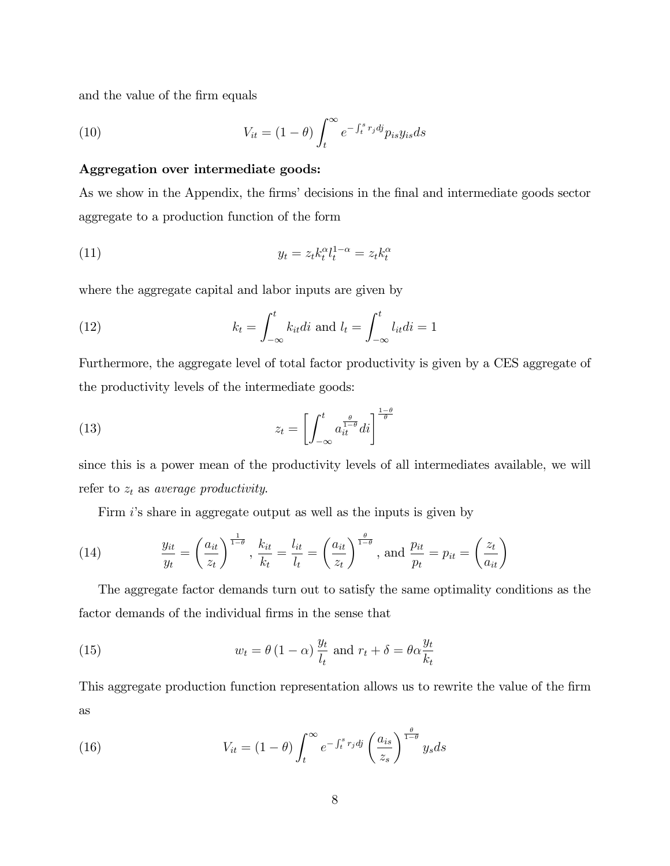and the value of the firm equals

(10) 
$$
V_{it} = (1 - \theta) \int_t^{\infty} e^{-\int_t^s r_j d\mathbf{j}} p_{is} y_{is} ds
$$

### Aggregation over intermediate goods:

As we show in the Appendix, the firms' decisions in the final and intermediate goods sector aggregate to a production function of the form

$$
(11) \t\t y_t = z_t k_t^{\alpha} l_t^{1-\alpha} = z_t k_t^{\alpha}
$$

where the aggregate capital and labor inputs are given by

(12) 
$$
k_t = \int_{-\infty}^t k_{it} di \text{ and } l_t = \int_{-\infty}^t l_{it} di = 1
$$

Furthermore, the aggregate level of total factor productivity is given by a CES aggregate of the productivity levels of the intermediate goods:

(13) 
$$
z_t = \left[ \int_{-\infty}^t a_{it}^{\frac{\theta}{1-\theta}} dt \right]^{\frac{1-\theta}{\theta}}
$$

since this is a power mean of the productivity levels of all intermediates available, we will refer to  $z_t$  as average productivity.

Firm is share in aggregate output as well as the inputs is given by

(14) 
$$
\frac{y_{it}}{y_t} = \left(\frac{a_{it}}{z_t}\right)^{\frac{1}{1-\theta}}, \frac{k_{it}}{k_t} = \frac{l_{it}}{l_t} = \left(\frac{a_{it}}{z_t}\right)^{\frac{\theta}{1-\theta}}, \text{ and } \frac{p_{it}}{p_t} = p_{it} = \left(\frac{z_t}{a_{it}}\right)
$$

The aggregate factor demands turn out to satisfy the same optimality conditions as the factor demands of the individual firms in the sense that

(15) 
$$
w_t = \theta (1 - \alpha) \frac{y_t}{l_t} \text{ and } r_t + \delta = \theta \alpha \frac{y_t}{k_t}
$$

This aggregate production function representation allows us to rewrite the value of the firm as

(16) 
$$
V_{it} = (1 - \theta) \int_{t}^{\infty} e^{-\int_{t}^{s} r_{j} d\mathbf{j}} \left(\frac{a_{is}}{z_{s}}\right)^{\frac{\theta}{1 - \theta}} y_{s} ds
$$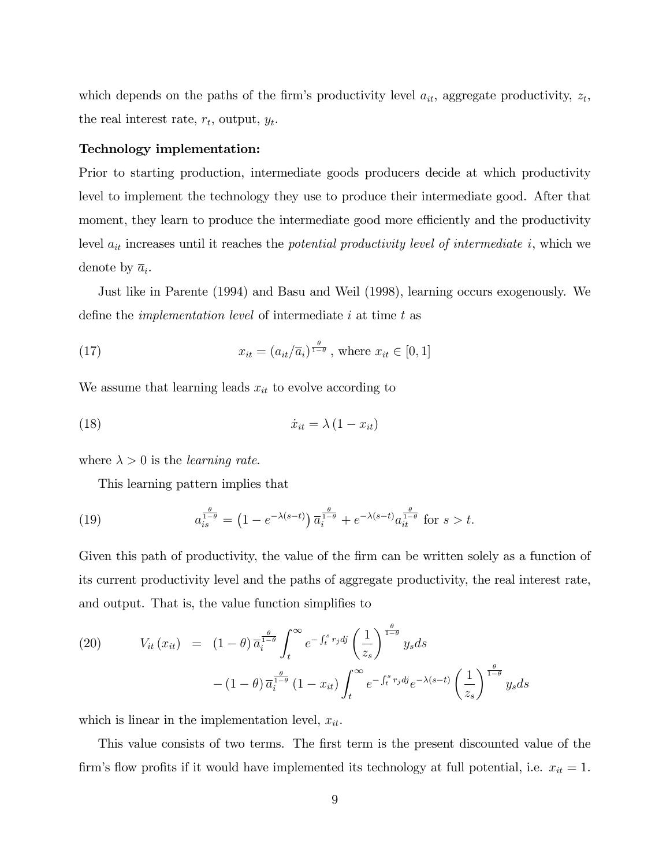which depends on the paths of the firm's productivity level  $a_{it}$ , aggregate productivity,  $z_t$ , the real interest rate,  $r_t$ , output,  $y_t$ .

#### Technology implementation:

Prior to starting production, intermediate goods producers decide at which productivity level to implement the technology they use to produce their intermediate good. After that moment, they learn to produce the intermediate good more efficiently and the productivity level  $a_{it}$  increases until it reaches the *potential productivity level of intermediate i*, which we denote by  $\overline{a}_i$ .

Just like in Parente (1994) and Basu and Weil (1998), learning occurs exogenously. We define the *implementation level* of intermediate  $i$  at time  $t$  as

(17) 
$$
x_{it} = (a_{it}/\overline{a_i})^{\frac{\theta}{1-\theta}}, \text{ where } x_{it} \in [0,1]
$$

We assume that learning leads  $x_{it}$  to evolve according to

$$
(18)\qquad \qquad \dot{x}_{it} = \lambda \left(1 - x_{it}\right)
$$

where  $\lambda > 0$  is the *learning rate*.

This learning pattern implies that

(19) 
$$
a_{is}^{\frac{\theta}{1-\theta}} = \left(1 - e^{-\lambda(s-t)}\right) \overline{a}_{i}^{\frac{\theta}{1-\theta}} + e^{-\lambda(s-t)} a_{it}^{\frac{\theta}{1-\theta}} \text{ for } s > t.
$$

Given this path of productivity, the value of the firm can be written solely as a function of its current productivity level and the paths of aggregate productivity, the real interest rate, and output. That is, the value function simplifies to

(20) 
$$
V_{it}(x_{it}) = (1 - \theta) \overline{a_i^{\frac{\theta}{1 - \theta}}} \int_t^{\infty} e^{-\int_t^s r_j d_j} \left(\frac{1}{z_s}\right)^{\frac{\theta}{1 - \theta}} y_s ds
$$

$$
- (1 - \theta) \overline{a_i^{\frac{\theta}{1 - \theta}}} (1 - x_{it}) \int_t^{\infty} e^{-\int_t^s r_j d_j} e^{-\lambda (s - t)} \left(\frac{1}{z_s}\right)^{\frac{\theta}{1 - \theta}} y_s ds
$$

which is linear in the implementation level,  $x_{it}$ .

This value consists of two terms. The first term is the present discounted value of the firm's flow profits if it would have implemented its technology at full potential, i.e.  $x_{it} = 1$ .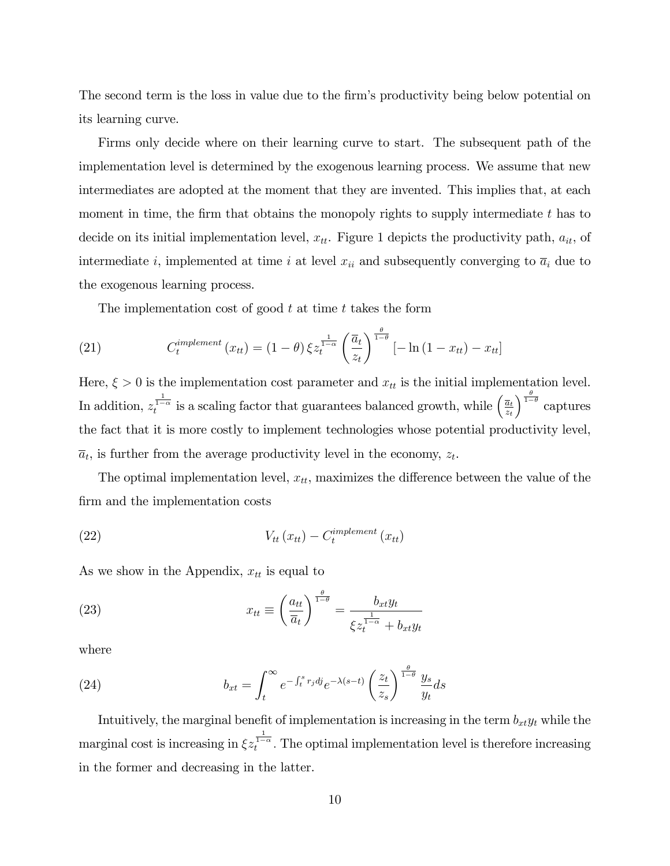The second term is the loss in value due to the firm's productivity being below potential on its learning curve.

Firms only decide where on their learning curve to start. The subsequent path of the implementation level is determined by the exogenous learning process. We assume that new intermediates are adopted at the moment that they are invented. This implies that, at each moment in time, the firm that obtains the monopoly rights to supply intermediate  $t$  has to decide on its initial implementation level,  $x_{tt}$ . Figure 1 depicts the productivity path,  $a_{it}$ , of intermediate i, implemented at time i at level  $x_{ii}$  and subsequently converging to  $\overline{a}_i$  due to the exogenous learning process.

The implementation cost of good  $t$  at time  $t$  takes the form

(21) 
$$
C_t^{implement}(x_{tt}) = (1 - \theta) \xi z_t^{\frac{1}{1 - \alpha}} \left(\frac{\overline{a}_t}{z_t}\right)^{\frac{\theta}{1 - \theta}} [-\ln(1 - x_{tt}) - x_{tt}]
$$

Here,  $\xi > 0$  is the implementation cost parameter and  $x_{tt}$  is the initial implementation level. In addition,  $z_t^{\frac{1}{1-\alpha}}$  is a scaling factor that guarantees balanced growth, while  $\left(\frac{\bar{a}_t}{z_t}\right)$ zt  $\int_{1-\theta}^{\frac{\theta}{1-\theta}}$  captures the fact that it is more costly to implement technologies whose potential productivity level,  $\overline{a}_t$ , is further from the average productivity level in the economy,  $z_t$ .

The optimal implementation level,  $x_{tt}$ , maximizes the difference between the value of the firm and the implementation costs

(22) 
$$
V_{tt}(x_{tt}) - C_t^{implement}(x_{tt})
$$

As we show in the Appendix,  $x_{tt}$  is equal to

(23) 
$$
x_{tt} \equiv \left(\frac{a_{tt}}{\overline{a}_t}\right)^{\frac{\theta}{1-\theta}} = \frac{b_{xt}y_t}{\xi z_t^{\frac{1}{1-\alpha}} + b_{xt}y_t}
$$

where

(24) 
$$
b_{xt} = \int_t^{\infty} e^{-\int_t^s r_j d\mathbf{j}} e^{-\lambda(s-t)} \left(\frac{z_t}{z_s}\right)^{\frac{\theta}{1-\theta}} \frac{y_s}{y_t} ds
$$

Intuitively, the marginal benefit of implementation is increasing in the term  $b_{xt}y_t$  while the marginal cost is increasing in  $\xi z_t^{\frac{1}{1-\alpha}}$ . The optimal implementation level is therefore increasing in the former and decreasing in the latter.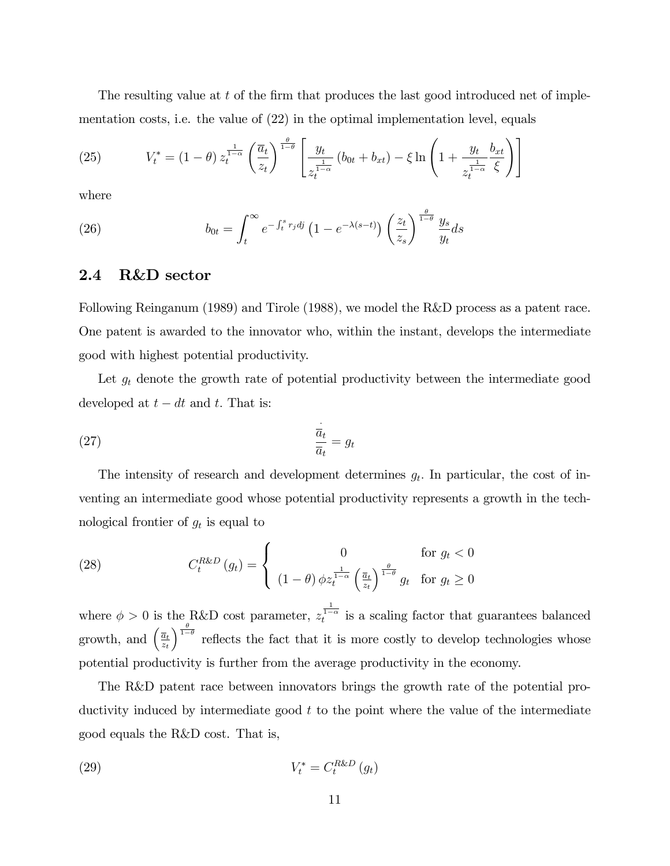The resulting value at  $t$  of the firm that produces the last good introduced net of implementation costs, i.e. the value of (22) in the optimal implementation level, equals

(25) 
$$
V_t^* = (1 - \theta) z_t^{\frac{1}{1 - \alpha}} \left( \frac{\overline{a}_t}{z_t} \right)^{\frac{\theta}{1 - \theta}} \left[ \frac{y_t}{z_t^{\frac{1}{1 - \alpha}}} \left( b_{0t} + b_{xt} \right) - \xi \ln \left( 1 + \frac{y_t}{z_t^{\frac{1}{1 - \alpha}}} \frac{b_{xt}}{\xi} \right) \right]
$$

where

(26) 
$$
b_{0t} = \int_t^{\infty} e^{-\int_t^s r_j d\mathbf{j}} \left(1 - e^{-\lambda(s-t)}\right) \left(\frac{z_t}{z_s}\right)^{\frac{\theta}{1-\theta}} \frac{y_s}{y_t} ds
$$

### 2.4 R&D sector

Following Reinganum (1989) and Tirole (1988), we model the R&D process as a patent race. One patent is awarded to the innovator who, within the instant, develops the intermediate good with highest potential productivity.

Let  $g_t$  denote the growth rate of potential productivity between the intermediate good developed at  $t - dt$  and t. That is:

$$
\frac{\dot{\overline{a}}_t}{\overline{a}_t} = g_t
$$

The intensity of research and development determines  $g_t$ . In particular, the cost of inventing an intermediate good whose potential productivity represents a growth in the technological frontier of  $g_t$  is equal to

(28) 
$$
C_t^{R\&D}(g_t) = \begin{cases} 0 & \text{for } g_t < 0\\ (1-\theta)\phi z_t^{\frac{1}{1-\alpha}} \left(\frac{\overline{a}_t}{z_t}\right)^{\frac{\theta}{1-\theta}} g_t & \text{for } g_t \ge 0 \end{cases}
$$

where  $\phi > 0$  is the R&D cost parameter,  $z_t^{\frac{1}{1-\alpha}}$  is a scaling factor that guarantees balanced growth, and  $\left(\frac{\overline{a}_{t}}{a_{t}}\right)$ zt  $\int_{0}^{\frac{\theta}{1-\theta}}$  reflects the fact that it is more costly to develop technologies whose potential productivity is further from the average productivity in the economy.

The R&D patent race between innovators brings the growth rate of the potential productivity induced by intermediate good  $t$  to the point where the value of the intermediate good equals the R&D cost. That is,

$$
V_t^* = C_t^{R\&D}(g_t)
$$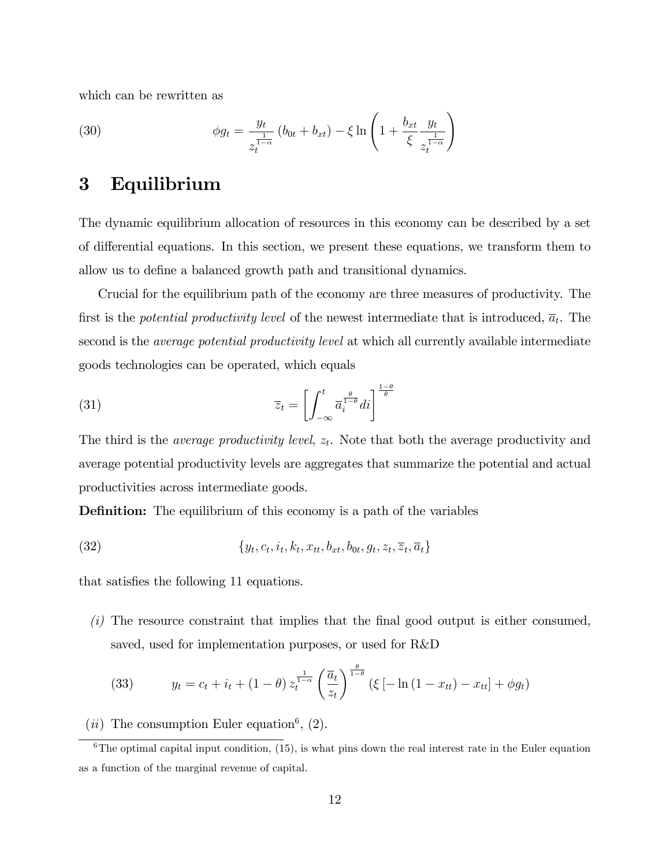which can be rewritten as

(30) 
$$
\phi g_t = \frac{y_t}{z_t^{\frac{1}{1-\alpha}}} (b_{0t} + b_{xt}) - \xi \ln \left( 1 + \frac{b_{xt}}{\xi} \frac{y_t}{z_t^{\frac{1}{1-\alpha}}} \right)
$$

## 3 Equilibrium

The dynamic equilibrium allocation of resources in this economy can be described by a set of differential equations. In this section, we present these equations, we transform them to allow us to define a balanced growth path and transitional dynamics.

Crucial for the equilibrium path of the economy are three measures of productivity. The first is the *potential productivity level* of the newest intermediate that is introduced,  $\overline{a}_t$ . The second is the *average potential productivity level* at which all currently available intermediate goods technologies can be operated, which equals

(31) 
$$
\overline{z}_t = \left[ \int_{-\infty}^t \overline{a}_i^{\frac{\theta}{1-\theta}} di \right]^{\frac{1-\theta}{\theta}}
$$

The third is the *average productivity level*,  $z_t$ . Note that both the average productivity and average potential productivity levels are aggregates that summarize the potential and actual productivities across intermediate goods.

**Definition:** The equilibrium of this economy is a path of the variables

(32) 
$$
\{y_t, c_t, i_t, k_t, x_{tt}, b_{xt}, b_{0t}, g_t, z_t, \overline{z}_t, \overline{a}_t\}
$$

that satisfies the following 11 equations.

 $(i)$  The resource constraint that implies that the final good output is either consumed, saved, used for implementation purposes, or used for R&D

(33) 
$$
y_t = c_t + i_t + (1 - \theta) z_t^{\frac{1}{1 - \alpha}} \left( \frac{\overline{a}_t}{z_t} \right)^{\frac{\theta}{1 - \theta}} (\xi \left[ -\ln(1 - x_{tt}) - x_{tt} \right] + \phi g_t)
$$

(*ii*) The consumption Euler equation<sup>6</sup>, (2).

 $6$ The optimal capital input condition, (15), is what pins down the real interest rate in the Euler equation as a function of the marginal revenue of capital.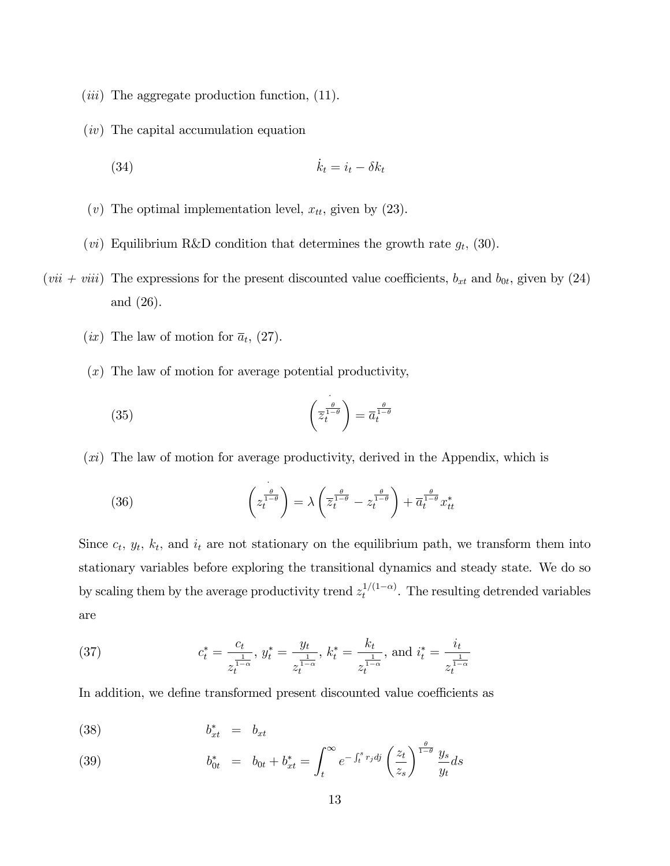- $(iii)$  The aggregate production function,  $(11)$ .
- (iv) The capital accumulation equation

(34) \_k<sup>t</sup> <sup>=</sup> <sup>i</sup><sup>t</sup> k<sup>t</sup>

- (v) The optimal implementation level,  $x_{tt}$ , given by (23).
- (*vi*) Equilibrium R&D condition that determines the growth rate  $g_t$ , (30).
- $(vii + viii)$  The expressions for the present discounted value coefficients,  $b_{xt}$  and  $b_{0t}$ , given by (24) and (26).
	- $(ix)$  The law of motion for  $\bar{a}_t$ , (27).
	- (x) The law of motion for average potential productivity,

(35) 
$$
\left(\overline{z}_t^{\frac{\theta}{1-\theta}}\right) = \overline{a}_t^{\frac{\theta}{1-\theta}}
$$

 $(x_i)$  The law of motion for average productivity, derived in the Appendix, which is

(36) 
$$
\left(z_t^{\frac{\theta}{1-\theta}}\right) = \lambda \left(\overline{z}_t^{\frac{\theta}{1-\theta}} - z_t^{\frac{\theta}{1-\theta}}\right) + \overline{a}_t^{\frac{\theta}{1-\theta}}x_{tt}^*
$$

Since  $c_t$ ,  $y_t$ ,  $k_t$ , and  $i_t$  are not stationary on the equilibrium path, we transform them into stationary variables before exploring the transitional dynamics and steady state. We do so by scaling them by the average productivity trend  $z_t^{1/(1-\alpha)}$ . The resulting detrended variables are

(37) 
$$
c_t^* = \frac{c_t}{z_t^{\frac{1}{1-\alpha}}}, y_t^* = \frac{y_t}{z_t^{\frac{1}{1-\alpha}}}, k_t^* = \frac{k_t}{z_t^{\frac{1}{1-\alpha}}}, \text{ and } i_t^* = \frac{i_t}{z_t^{\frac{1}{1-\alpha}}}
$$

In addition, we define transformed present discounted value coefficients as

$$
(38) \t\t b_{xt}^* = b_{xt}
$$

(39) 
$$
b_{0t}^* = b_{0t} + b_{xt}^* = \int_t^{\infty} e^{-\int_t^s r_j d^j} \left(\frac{z_t}{z_s}\right)^{\frac{\theta}{1-\theta}} \frac{y_s}{y_t} ds
$$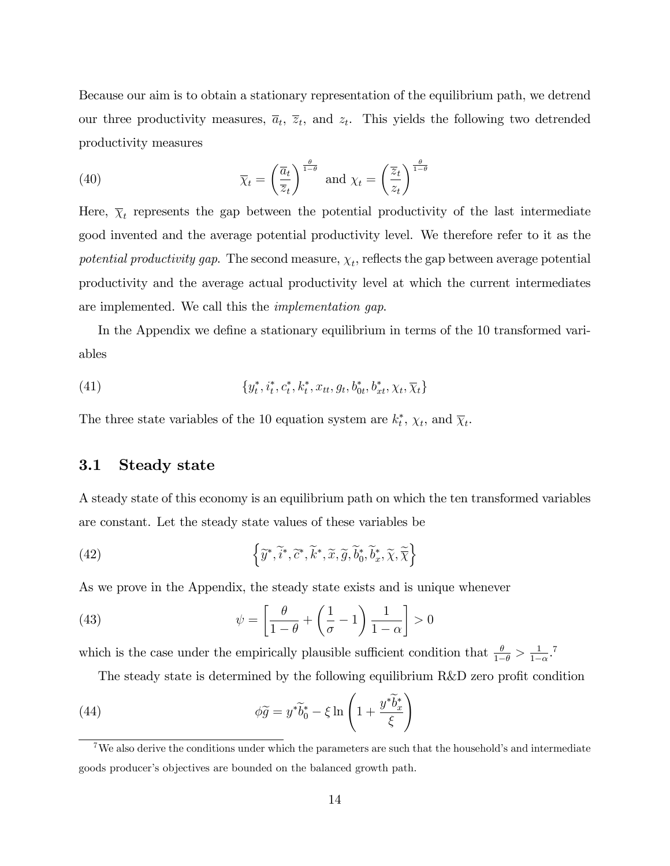Because our aim is to obtain a stationary representation of the equilibrium path, we detrend our three productivity measures,  $\overline{a}_t$ ,  $\overline{z}_t$ , and  $z_t$ . This yields the following two detrended productivity measures

(40) 
$$
\overline{\chi}_t = \left(\frac{\overline{a}_t}{\overline{z}_t}\right)^{\frac{\theta}{1-\theta}} \text{ and } \chi_t = \left(\frac{\overline{z}_t}{z_t}\right)^{\frac{\theta}{1-\theta}}
$$

Here,  $\overline{\chi}_t$  represents the gap between the potential productivity of the last intermediate good invented and the average potential productivity level. We therefore refer to it as the potential productivity gap. The second measure,  $\chi_t$ , reflects the gap between average potential productivity and the average actual productivity level at which the current intermediates are implemented. We call this the implementation gap.

In the Appendix we define a stationary equilibrium in terms of the 10 transformed variables

(41) 
$$
\{y_t^*, i_t^*, c_t^*, k_t^*, x_{tt}, g_t, b_{0t}^*, b_{xt}^*, \chi_t, \overline{\chi}_t\}
$$

The three state variables of the 10 equation system are  $k_t^*$ ,  $\chi_t$ , and  $\overline{\chi}_t$ .

## 3.1 Steady state

A steady state of this economy is an equilibrium path on which the ten transformed variables are constant. Let the steady state values of these variables be

(42) 
$$
\left\{\widetilde{y}^*, \widetilde{i}^*, \widetilde{c}^*, \widetilde{k}^*, \widetilde{x}, \widetilde{g}, \widetilde{b}_0^*, \widetilde{b}_x^*, \widetilde{\chi}, \widetilde{\overline{\chi}}\right\}
$$

As we prove in the Appendix, the steady state exists and is unique whenever

(43) 
$$
\psi = \left[\frac{\theta}{1-\theta} + \left(\frac{1}{\sigma} - 1\right)\frac{1}{1-\alpha}\right] > 0
$$

which is the case under the empirically plausible sufficient condition that  $\frac{\theta}{1-\theta} > \frac{1}{1-\theta}$  $\frac{1}{1-\alpha}$ .<sup>7</sup>

The steady state is determined by the following equilibrium  $R&D$  zero profit condition

(44) 
$$
\phi \widetilde{g} = y^* \widetilde{b}_0^* - \xi \ln \left( 1 + \frac{y^* \widetilde{b}_x^*}{\xi} \right)
$$

<sup>&</sup>lt;sup>7</sup>We also derive the conditions under which the parameters are such that the household's and intermediate goods producer's objectives are bounded on the balanced growth path.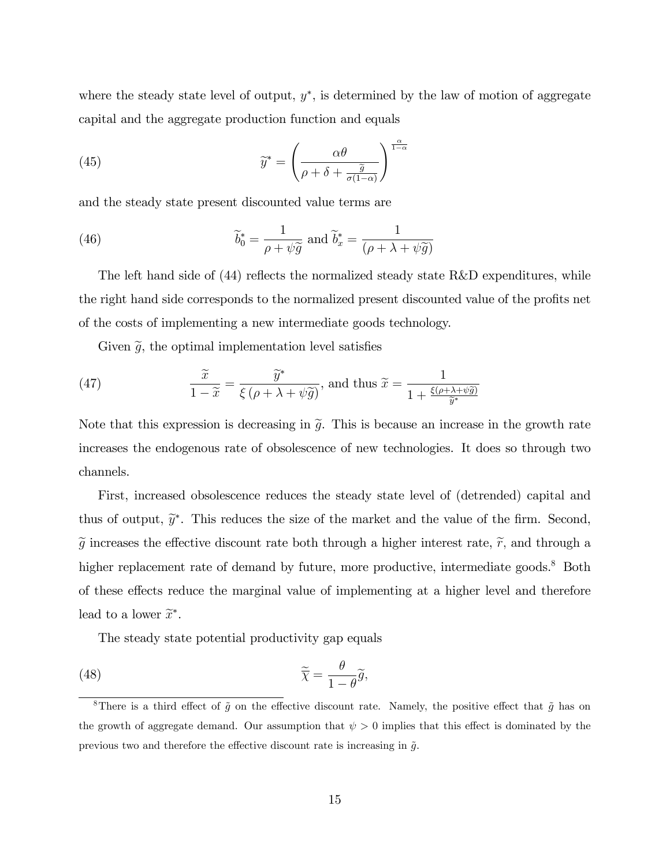where the steady state level of output,  $y^*$ , is determined by the law of motion of aggregate capital and the aggregate production function and equals

(45) 
$$
\widetilde{y}^* = \left(\frac{\alpha\theta}{\rho + \delta + \frac{\widetilde{g}}{\sigma(1-\alpha)}}\right)^{\frac{\alpha}{1-\alpha}}
$$

and the steady state present discounted value terms are

(46) 
$$
\widetilde{b}_0^* = \frac{1}{\rho + \psi \widetilde{g}} \text{ and } \widetilde{b}_x^* = \frac{1}{(\rho + \lambda + \psi \widetilde{g})}
$$

The left hand side of  $(44)$  reflects the normalized steady state R&D expenditures, while the right hand side corresponds to the normalized present discounted value of the profits net of the costs of implementing a new intermediate goods technology.

Given  $\tilde{g}$ , the optimal implementation level satisfies

(47) 
$$
\frac{\widetilde{x}}{1-\widetilde{x}} = \frac{\widetilde{y}^*}{\xi(\rho+\lambda+\psi\widetilde{g})}, \text{ and thus } \widetilde{x} = \frac{1}{1+\frac{\xi(\rho+\lambda+\psi\widetilde{g})}{\widetilde{y}^*}}
$$

Note that this expression is decreasing in  $\tilde{g}$ . This is because an increase in the growth rate increases the endogenous rate of obsolescence of new technologies. It does so through two channels.

First, increased obsolescence reduces the steady state level of (detrended) capital and thus of output,  $\tilde{y}^*$ . This reduces the size of the market and the value of the firm. Second,  $\tilde{g}$  increases the effective discount rate both through a higher interest rate,  $\tilde{r}$ , and through a higher replacement rate of demand by future, more productive, intermediate goods.<sup>8</sup> Both of these effects reduce the marginal value of implementing at a higher level and therefore lead to a lower  $\widetilde{x}^*$ .

The steady state potential productivity gap equals

(48) 
$$
\widetilde{\overline{\chi}} = \frac{\theta}{1 - \theta} \widetilde{g},
$$

<sup>&</sup>lt;sup>8</sup>There is a third effect of  $\tilde{g}$  on the effective discount rate. Namely, the positive effect that  $\tilde{g}$  has on the growth of aggregate demand. Our assumption that  $\psi > 0$  implies that this effect is dominated by the previous two and therefore the effective discount rate is increasing in  $\tilde{g}$ .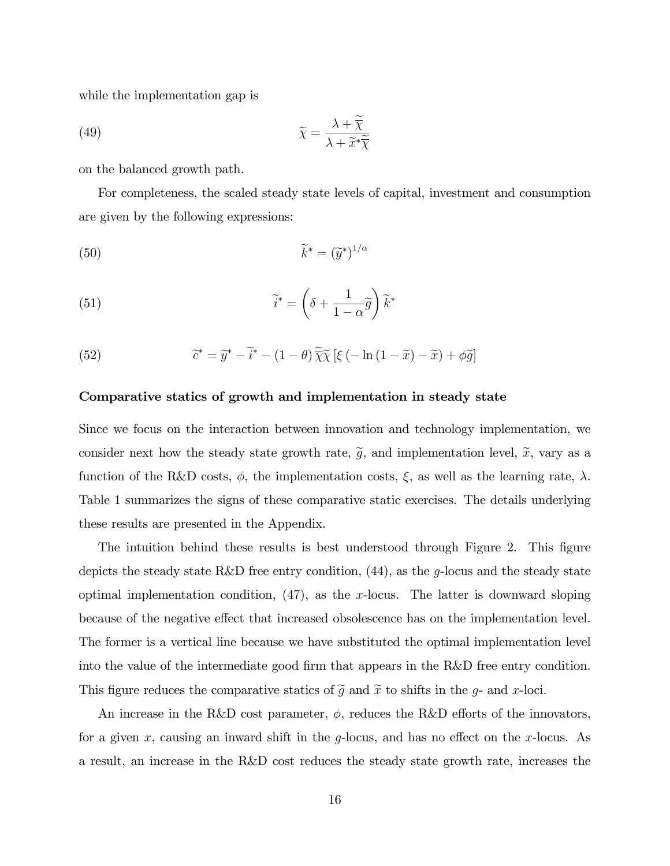while the implementation gap is

(49) 
$$
\widetilde{\chi} = \frac{\lambda + \overline{\chi}}{\lambda + \widetilde{x}^* \widetilde{\chi}}
$$

on the balanced growth path.

For completeness, the scaled steady state levels of capital, investment and consumption are given by the following expressions:

(50) 
$$
\widetilde{k}^* = (\widetilde{y}^*)^{1/\alpha}
$$

(51) 
$$
\widetilde{i}^* = \left(\delta + \frac{1}{1-\alpha}\widetilde{g}\right)\widetilde{k}^*
$$

(52) 
$$
\widetilde{c}^* = \widetilde{y}^* - \widetilde{i}^* - (1 - \theta) \widetilde{\overline{\chi}} \widetilde{\chi} \left[ \xi \left( -\ln\left(1 - \widetilde{x}\right) - \widetilde{x}\right) + \phi \widetilde{g} \right]
$$

#### Comparative statics of growth and implementation in steady state

Since we focus on the interaction between innovation and technology implementation, we consider next how the steady state growth rate,  $\tilde{g}$ , and implementation level,  $\tilde{x}$ , vary as a function of the R&D costs,  $\phi$ , the implementation costs,  $\xi$ , as well as the learning rate,  $\lambda$ . Table 1 summarizes the signs of these comparative static exercises. The details underlying these results are presented in the Appendix.

The intuition behind these results is best understood through Figure 2. This figure depicts the steady state R&D free entry condition,  $(44)$ , as the g-locus and the steady state optimal implementation condition,  $(47)$ , as the x-locus. The latter is downward sloping because of the negative effect that increased obsolescence has on the implementation level. The former is a vertical line because we have substituted the optimal implementation level into the value of the intermediate good firm that appears in the R&D free entry condition. This figure reduces the comparative statics of  $\tilde{g}$  and  $\tilde{x}$  to shifts in the g- and x-loci.

An increase in the R&D cost parameter,  $\phi$ , reduces the R&D efforts of the innovators, for a given x, causing an inward shift in the y-locus, and has no effect on the x-locus. As a result, an increase in the R&D cost reduces the steady state growth rate, increases the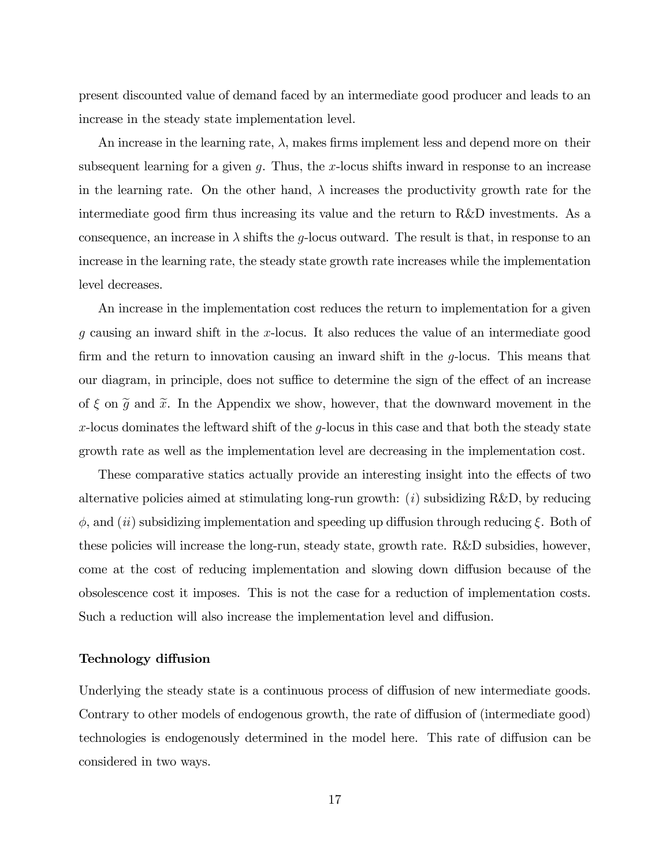present discounted value of demand faced by an intermediate good producer and leads to an increase in the steady state implementation level.

An increase in the learning rate,  $\lambda$ , makes firms implement less and depend more on their subsequent learning for a given  $g$ . Thus, the x-locus shifts inward in response to an increase in the learning rate. On the other hand,  $\lambda$  increases the productivity growth rate for the intermediate good firm thus increasing its value and the return to R&D investments. As a consequence, an increase in  $\lambda$  shifts the g-locus outward. The result is that, in response to an increase in the learning rate, the steady state growth rate increases while the implementation level decreases.

An increase in the implementation cost reduces the return to implementation for a given g causing an inward shift in the x-locus. It also reduces the value of an intermediate good firm and the return to innovation causing an inward shift in the  $q$ -locus. This means that our diagram, in principle, does not suffice to determine the sign of the effect of an increase of  $\xi$  on  $\widetilde{g}$  and  $\widetilde{x}$ . In the Appendix we show, however, that the downward movement in the x-locus dominates the leftward shift of the  $g$ -locus in this case and that both the steady state growth rate as well as the implementation level are decreasing in the implementation cost.

These comparative statics actually provide an interesting insight into the effects of two alternative policies aimed at stimulating long-run growth:  $(i)$  subsidizing R&D, by reducing  $\phi$ , and (*ii*) subsidizing implementation and speeding up diffusion through reducing  $\xi$ . Both of these policies will increase the long-run, steady state, growth rate. R&D subsidies, however, come at the cost of reducing implementation and slowing down diffusion because of the obsolescence cost it imposes. This is not the case for a reduction of implementation costs. Such a reduction will also increase the implementation level and diffusion.

#### Technology diffusion

Underlying the steady state is a continuous process of diffusion of new intermediate goods. Contrary to other models of endogenous growth, the rate of diffusion of (intermediate good) technologies is endogenously determined in the model here. This rate of diffusion can be considered in two ways.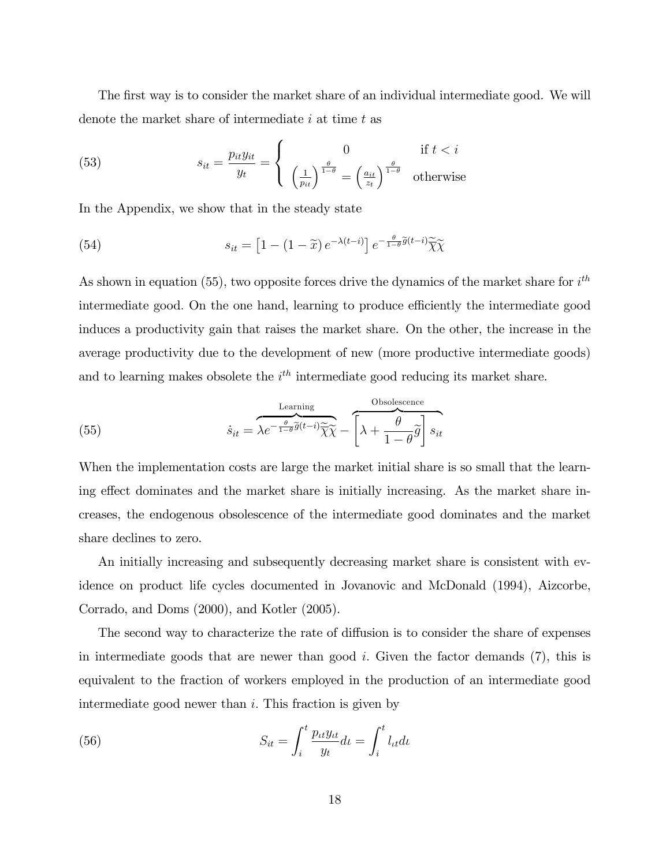The first way is to consider the market share of an individual intermediate good. We will denote the market share of intermediate  $i$  at time  $t$  as

(53) 
$$
s_{it} = \frac{p_{it}y_{it}}{y_t} = \begin{cases} 0 & \text{if } t < i\\ \left(\frac{1}{p_{it}}\right)^{\frac{\theta}{1-\theta}} = \left(\frac{a_{it}}{z_t}\right)^{\frac{\theta}{1-\theta}} & \text{otherwise} \end{cases}
$$

In the Appendix, we show that in the steady state

(54) 
$$
s_{it} = \left[1 - (1 - \widetilde{x}) e^{-\lambda(t - i)}\right] e^{-\frac{\theta}{1 - \theta}\widetilde{g}(t - i)} \widetilde{\chi}\widetilde{\chi}
$$

As shown in equation (55), two opposite forces drive the dynamics of the market share for  $i^{th}$ intermediate good. On the one hand, learning to produce efficiently the intermediate good induces a productivity gain that raises the market share. On the other, the increase in the average productivity due to the development of new (more productive intermediate goods) and to learning makes obsolete the  $i<sup>th</sup>$  intermediate good reducing its market share.

(55) 
$$
\dot{s}_{it} = \overbrace{\lambda e^{-\frac{\theta}{1-\theta}\widetilde{g}(t-i)}\widetilde{\chi}\widetilde{\chi}}^{\text{Learning}} - \left[\lambda + \frac{\theta}{1-\theta}\widetilde{g}\right]s_{it}
$$

When the implementation costs are large the market initial share is so small that the learning effect dominates and the market share is initially increasing. As the market share increases, the endogenous obsolescence of the intermediate good dominates and the market share declines to zero.

An initially increasing and subsequently decreasing market share is consistent with evidence on product life cycles documented in Jovanovic and McDonald (1994), Aizcorbe, Corrado, and Doms (2000), and Kotler (2005).

The second way to characterize the rate of diffusion is to consider the share of expenses in intermediate goods that are newer than good  $i$ . Given the factor demands  $(7)$ , this is equivalent to the fraction of workers employed in the production of an intermediate good intermediate good newer than i: This fraction is given by

(56) 
$$
S_{it} = \int_{i}^{t} \frac{p_{it} y_{it}}{y_{t}} dt = \int_{i}^{t} l_{it} dt
$$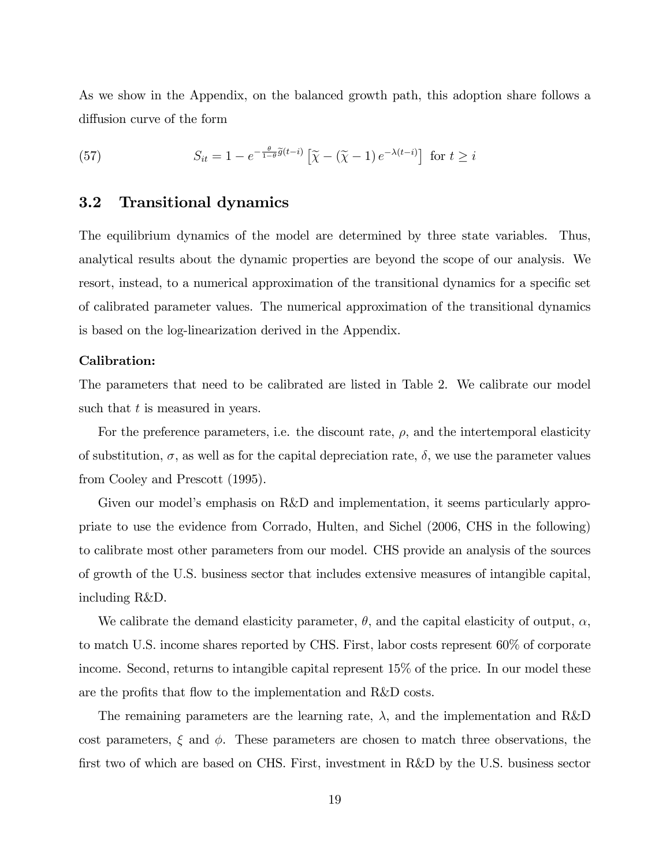As we show in the Appendix, on the balanced growth path, this adoption share follows a diffusion curve of the form

(57) 
$$
S_{it} = 1 - e^{-\frac{\theta}{1-\theta}\widetilde{g}(t-i)} \left[ \widetilde{\chi} - (\widetilde{\chi} - 1) e^{-\lambda(t-i)} \right] \text{ for } t \ge i
$$

## 3.2 Transitional dynamics

The equilibrium dynamics of the model are determined by three state variables. Thus, analytical results about the dynamic properties are beyond the scope of our analysis. We resort, instead, to a numerical approximation of the transitional dynamics for a specific set of calibrated parameter values. The numerical approximation of the transitional dynamics is based on the log-linearization derived in the Appendix.

#### Calibration:

The parameters that need to be calibrated are listed in Table 2. We calibrate our model such that  $t$  is measured in years.

For the preference parameters, i.e. the discount rate,  $\rho$ , and the intertemporal elasticity of substitution,  $\sigma$ , as well as for the capital depreciation rate,  $\delta$ , we use the parameter values from Cooley and Prescott (1995).

Given our model's emphasis on R&D and implementation, it seems particularly appropriate to use the evidence from Corrado, Hulten, and Sichel (2006, CHS in the following) to calibrate most other parameters from our model. CHS provide an analysis of the sources of growth of the U.S. business sector that includes extensive measures of intangible capital, including R&D.

We calibrate the demand elasticity parameter,  $\theta$ , and the capital elasticity of output,  $\alpha$ , to match U.S. income shares reported by CHS. First, labor costs represent 60% of corporate income. Second, returns to intangible capital represent 15% of the price. In our model these are the profits that flow to the implementation and R&D costs.

The remaining parameters are the learning rate,  $\lambda$ , and the implementation and R&D cost parameters,  $\xi$  and  $\phi$ . These parameters are chosen to match three observations, the first two of which are based on CHS. First, investment in R&D by the U.S. business sector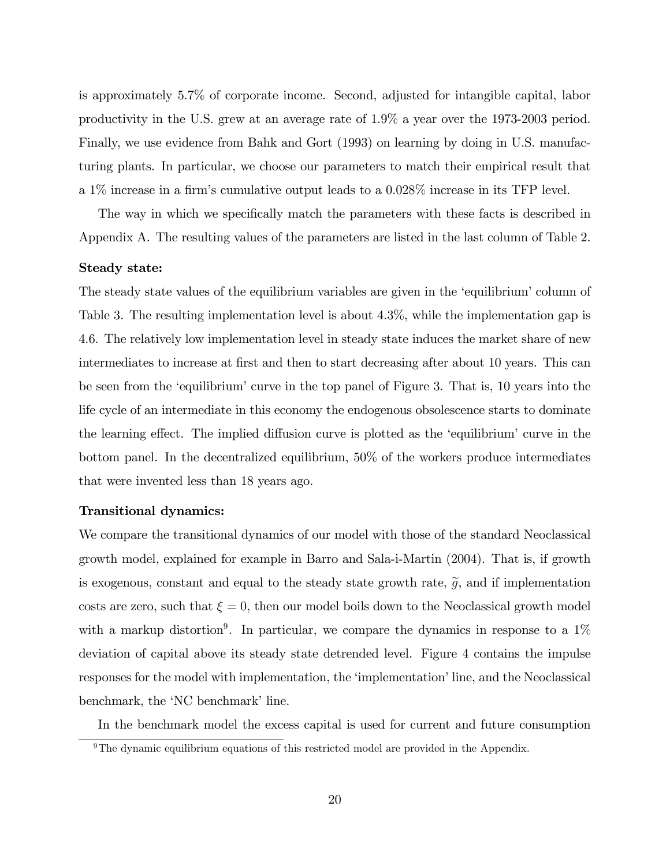is approximately 5.7% of corporate income. Second, adjusted for intangible capital, labor productivity in the U.S. grew at an average rate of 1.9% a year over the 1973-2003 period. Finally, we use evidence from Bahk and Gort (1993) on learning by doing in U.S. manufacturing plants. In particular, we choose our parameters to match their empirical result that a  $1\%$  increase in a firm's cumulative output leads to a 0.028% increase in its TFP level.

The way in which we specifically match the parameters with these facts is described in Appendix A. The resulting values of the parameters are listed in the last column of Table 2.

#### Steady state:

The steady state values of the equilibrium variables are given in the 'equilibrium' column of Table 3. The resulting implementation level is about 4.3%, while the implementation gap is 4.6. The relatively low implementation level in steady state induces the market share of new intermediates to increase at first and then to start decreasing after about 10 years. This can be seen from the 'equilibrium' curve in the top panel of Figure 3. That is, 10 years into the life cycle of an intermediate in this economy the endogenous obsolescence starts to dominate the learning effect. The implied diffusion curve is plotted as the 'equilibrium' curve in the bottom panel. In the decentralized equilibrium, 50% of the workers produce intermediates that were invented less than 18 years ago.

#### Transitional dynamics:

We compare the transitional dynamics of our model with those of the standard Neoclassical growth model, explained for example in Barro and Sala-i-Martin (2004). That is, if growth is exogenous, constant and equal to the steady state growth rate,  $\tilde{g}$ , and if implementation costs are zero, such that  $\xi = 0$ , then our model boils down to the Neoclassical growth model with a markup distortion<sup>9</sup>. In particular, we compare the dynamics in response to a  $1\%$ deviation of capital above its steady state detrended level. Figure 4 contains the impulse responses for the model with implementation, the 'implementation' line, and the Neoclassical benchmark, the 'NC benchmark' line.

In the benchmark model the excess capital is used for current and future consumption

 $9$ The dynamic equilibrium equations of this restricted model are provided in the Appendix.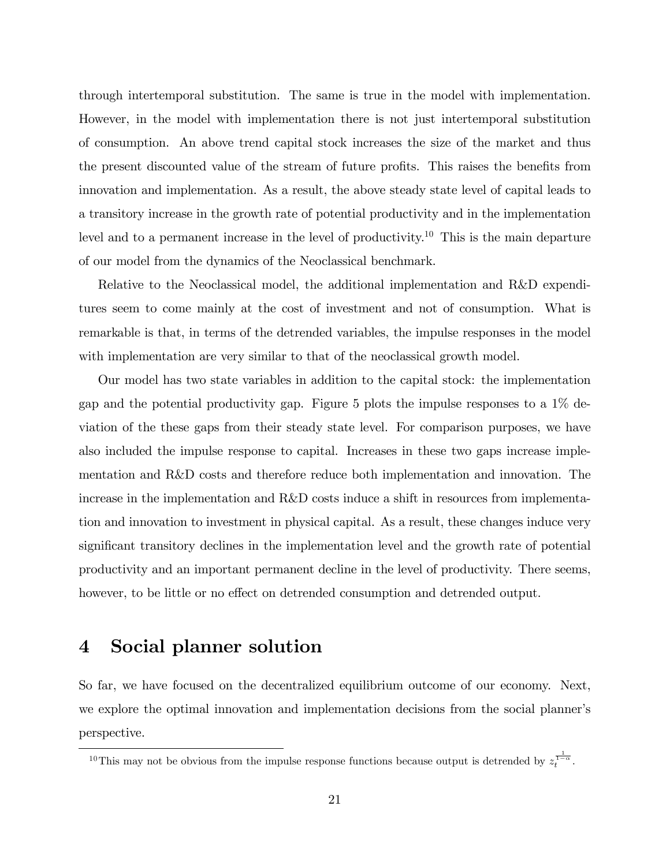through intertemporal substitution. The same is true in the model with implementation. However, in the model with implementation there is not just intertemporal substitution of consumption. An above trend capital stock increases the size of the market and thus the present discounted value of the stream of future profits. This raises the benefits from innovation and implementation. As a result, the above steady state level of capital leads to a transitory increase in the growth rate of potential productivity and in the implementation level and to a permanent increase in the level of productivity.<sup>10</sup> This is the main departure of our model from the dynamics of the Neoclassical benchmark.

Relative to the Neoclassical model, the additional implementation and R&D expenditures seem to come mainly at the cost of investment and not of consumption. What is remarkable is that, in terms of the detrended variables, the impulse responses in the model with implementation are very similar to that of the neoclassical growth model.

Our model has two state variables in addition to the capital stock: the implementation gap and the potential productivity gap. Figure 5 plots the impulse responses to a 1% deviation of the these gaps from their steady state level. For comparison purposes, we have also included the impulse response to capital. Increases in these two gaps increase implementation and R&D costs and therefore reduce both implementation and innovation. The increase in the implementation and R&D costs induce a shift in resources from implementation and innovation to investment in physical capital. As a result, these changes induce very significant transitory declines in the implementation level and the growth rate of potential productivity and an important permanent decline in the level of productivity. There seems, however, to be little or no effect on detrended consumption and detrended output.

## 4 Social planner solution

So far, we have focused on the decentralized equilibrium outcome of our economy. Next, we explore the optimal innovation and implementation decisions from the social planner's perspective.

<sup>&</sup>lt;sup>10</sup>This may not be obvious from the impulse response functions because output is detrended by  $z_t^{\frac{1}{1-\alpha}}$ .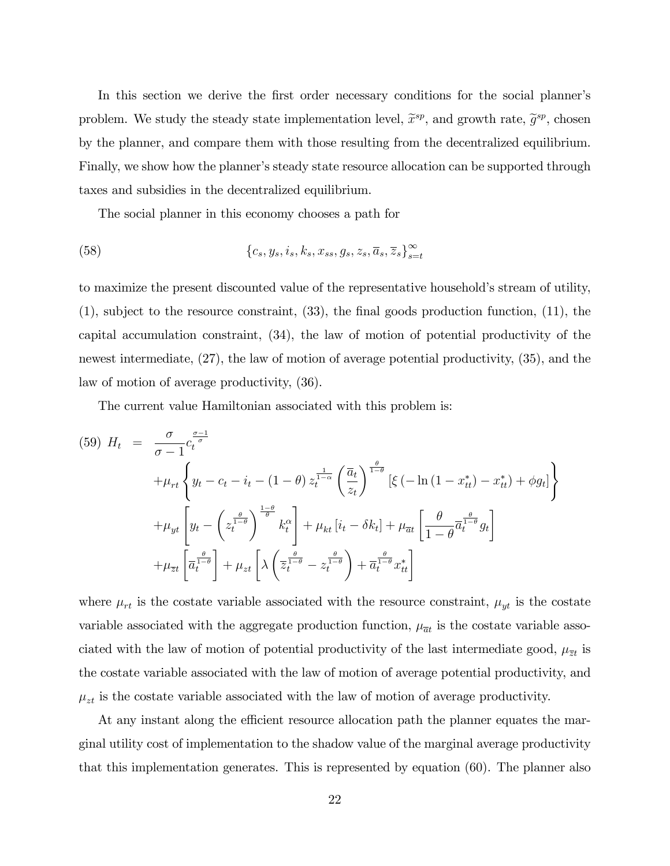In this section we derive the first order necessary conditions for the social planner's problem. We study the steady state implementation level,  $\widetilde{x}^{sp}$ , and growth rate,  $\widetilde{g}^{sp}$ , chosen by the planner, and compare them with those resulting from the decentralized equilibrium. Finally, we show how the planner's steady state resource allocation can be supported through taxes and subsidies in the decentralized equilibrium.

The social planner in this economy chooses a path for

(58) 
$$
{c_s, y_s, i_s, k_s, x_{ss}, g_s, z_s, \overline{a}_s, \overline{z}_s}_{s=t}^{\infty}
$$

to maximize the present discounted value of the representative household's stream of utility,  $(1)$ , subject to the resource constraint,  $(33)$ , the final goods production function,  $(11)$ , the capital accumulation constraint, (34), the law of motion of potential productivity of the newest intermediate, (27), the law of motion of average potential productivity, (35), and the law of motion of average productivity, (36).

The current value Hamiltonian associated with this problem is:

$$
(59) \ H_t = \frac{\sigma}{\sigma - 1} c_t^{\frac{\sigma - 1}{\sigma}}
$$

$$
+ \mu_{rt} \left\{ y_t - c_t - i_t - (1 - \theta) z_t^{\frac{1}{1 - \alpha}} \left( \frac{\overline{a}_t}{z_t} \right)^{\frac{\theta}{1 - \theta}} \left[ \xi \left( -\ln(1 - x_{tt}^*) - x_{tt}^* \right) + \phi g_t \right] \right\}
$$

$$
+ \mu_{yt} \left[ y_t - \left( z_t^{\frac{\theta}{1 - \theta}} \right)^{\frac{1 - \theta}{\theta}} k_t^{\alpha} \right] + \mu_{kt} \left[ i_t - \delta k_t \right] + \mu_{\overline{a}t} \left[ \frac{\theta}{1 - \theta} \overline{a}_t^{\frac{\theta}{1 - \theta}} g_t \right]
$$

$$
+ \mu_{\overline{z}t} \left[ \overline{a}_t^{\frac{\theta}{1 - \theta}} \right] + \mu_{zt} \left[ \lambda \left( \overline{z}_t^{\frac{\theta}{1 - \theta}} - z_t^{\frac{\theta}{1 - \theta}} \right) + \overline{a}_t^{\frac{\theta}{1 - \theta}} x_{tt}^* \right]
$$

where  $\mu_{rt}$  is the costate variable associated with the resource constraint,  $\mu_{yt}$  is the costate variable associated with the aggregate production function,  $\mu_{\bar{a}t}$  is the costate variable associated with the law of motion of potential productivity of the last intermediate good,  $\mu_{\overline{z}t}$  is the costate variable associated with the law of motion of average potential productivity, and  $\mu_{zt}$  is the costate variable associated with the law of motion of average productivity.

At any instant along the efficient resource allocation path the planner equates the marginal utility cost of implementation to the shadow value of the marginal average productivity that this implementation generates. This is represented by equation (60). The planner also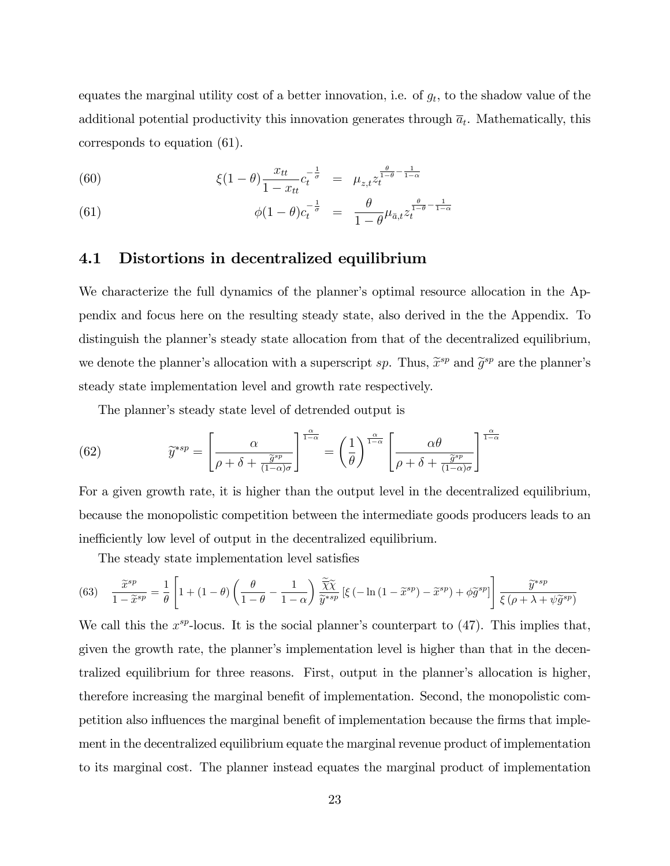equates the marginal utility cost of a better innovation, i.e. of  $g_t$ , to the shadow value of the additional potential productivity this innovation generates through  $\overline{a}_t$ . Mathematically, this corresponds to equation (61).

(60) 
$$
\xi(1-\theta)\frac{x_{tt}}{1-x_{tt}}c_t^{-\frac{1}{\sigma}} = \mu_{z,t}z_t^{\frac{\theta}{1-\theta}-\frac{1}{1-\alpha}}
$$

(61) 
$$
\phi(1-\theta)c_t^{-\frac{1}{\sigma}} = \frac{\theta}{1-\theta}\mu_{\bar{a},t}z_t^{\frac{\theta}{1-\theta}-\frac{1}{1-\alpha}}
$$

## 4.1 Distortions in decentralized equilibrium

We characterize the full dynamics of the planner's optimal resource allocation in the Appendix and focus here on the resulting steady state, also derived in the the Appendix. To distinguish the planner's steady state allocation from that of the decentralized equilibrium, we denote the planner's allocation with a superscript sp. Thus,  $\tilde{x}^{sp}$  and  $\tilde{g}^{sp}$  are the planner's steady state implementation level and growth rate respectively.

The planner's steady state level of detrended output is

(62) 
$$
\widetilde{y}^{*sp} = \left[\frac{\alpha}{\rho + \delta + \frac{\widetilde{g}^{sp}}{(1-\alpha)\sigma}}\right]^{\frac{\alpha}{1-\alpha}} = \left(\frac{1}{\theta}\right)^{\frac{\alpha}{1-\alpha}} \left[\frac{\alpha\theta}{\rho + \delta + \frac{\widetilde{g}^{sp}}{(1-\alpha)\sigma}}\right]^{\frac{\alpha}{1-\alpha}}
$$

For a given growth rate, it is higher than the output level in the decentralized equilibrium, because the monopolistic competition between the intermediate goods producers leads to an inefficiently low level of output in the decentralized equilibrium.

The steady state implementation level satisfies

(63) 
$$
\frac{\widetilde{x}^{sp}}{1-\widetilde{x}^{sp}} = \frac{1}{\theta} \left[ 1 + (1-\theta) \left( \frac{\theta}{1-\theta} - \frac{1}{1-\alpha} \right) \frac{\widetilde{\chi}\widetilde{\chi}}{\widetilde{y}^{*sp}} \left[ \xi \left( -\ln\left(1-\widetilde{x}^{sp}\right) - \widetilde{x}^{sp} \right) + \phi \widetilde{g}^{sp} \right] \right] \frac{\widetilde{y}^{*sp}}{\xi \left( \rho + \lambda + \psi \widetilde{g}^{sp} \right)}
$$

We call this the  $x^{sp}$ -locus. It is the social planner's counterpart to  $(47)$ . This implies that, given the growth rate, the planner's implementation level is higher than that in the decentralized equilibrium for three reasons. First, output in the planner's allocation is higher, therefore increasing the marginal benefit of implementation. Second, the monopolistic competition also influences the marginal benefit of implementation because the firms that implement in the decentralized equilibrium equate the marginal revenue product of implementation to its marginal cost. The planner instead equates the marginal product of implementation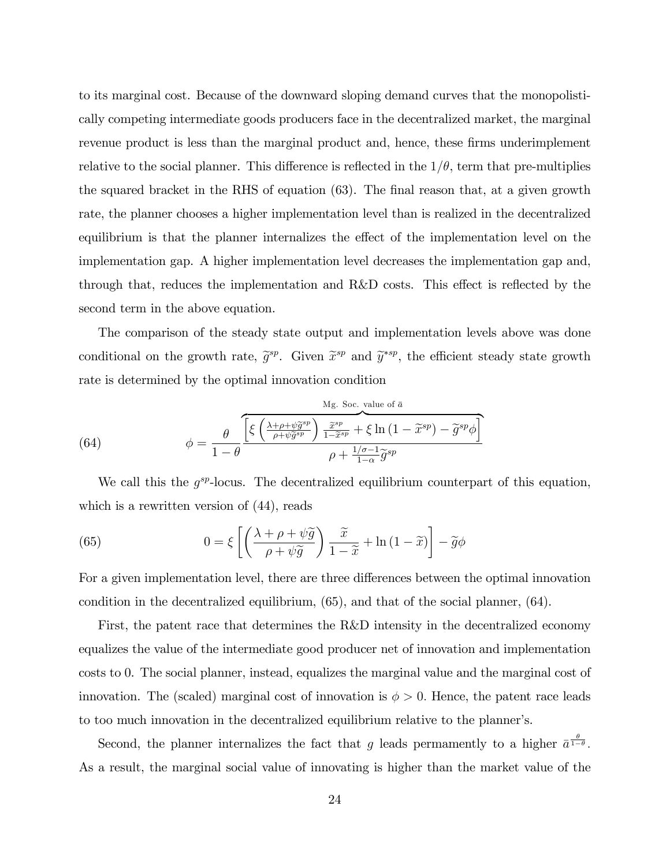to its marginal cost. Because of the downward sloping demand curves that the monopolistically competing intermediate goods producers face in the decentralized market, the marginal revenue product is less than the marginal product and, hence, these firms underimplement relative to the social planner. This difference is reflected in the  $1/\theta$ , term that pre-multiplies the squared bracket in the RHS of equation  $(63)$ . The final reason that, at a given growth rate, the planner chooses a higher implementation level than is realized in the decentralized equilibrium is that the planner internalizes the effect of the implementation level on the implementation gap. A higher implementation level decreases the implementation gap and, through that, reduces the implementation and R&D costs. This effect is reflected by the second term in the above equation.

The comparison of the steady state output and implementation levels above was done conditional on the growth rate,  $\tilde{g}^{sp}$ . Given  $\tilde{x}^{sp}$  and  $\tilde{y}^{*sp}$ , the efficient steady state growth rate is determined by the optimal innovation condition

(64) 
$$
\phi = \frac{\theta}{1-\theta} \frac{\left[ \xi \left( \frac{\lambda+\rho+\psi \tilde{g}^{sp}}{\rho+\psi \tilde{g}^{sp}} \right) \frac{\tilde{x}^{sp}}{1-\tilde{x}^{sp}} + \xi \ln \left( 1-\tilde{x}^{sp} \right) - \tilde{g}^{sp} \phi \right]}{\rho + \frac{1/\sigma-1}{1-\alpha} \tilde{g}^{sp}}
$$

We call this the  $g^{sp}$ -locus. The decentralized equilibrium counterpart of this equation, which is a rewritten version of  $(44)$ , reads

(65) 
$$
0 = \xi \left[ \left( \frac{\lambda + \rho + \psi \tilde{g}}{\rho + \psi \tilde{g}} \right) \frac{\tilde{x}}{1 - \tilde{x}} + \ln(1 - \tilde{x}) \right] - \tilde{g}\phi
$$

For a given implementation level, there are three differences between the optimal innovation condition in the decentralized equilibrium, (65), and that of the social planner, (64).

First, the patent race that determines the R&D intensity in the decentralized economy equalizes the value of the intermediate good producer net of innovation and implementation costs to 0. The social planner, instead, equalizes the marginal value and the marginal cost of innovation. The (scaled) marginal cost of innovation is  $\phi > 0$ . Hence, the patent race leads to too much innovation in the decentralized equilibrium relative to the plannerís.

Second, the planner internalizes the fact that g leads permamently to a higher  $\bar{a}^{\frac{\theta}{1-\theta}}$ . As a result, the marginal social value of innovating is higher than the market value of the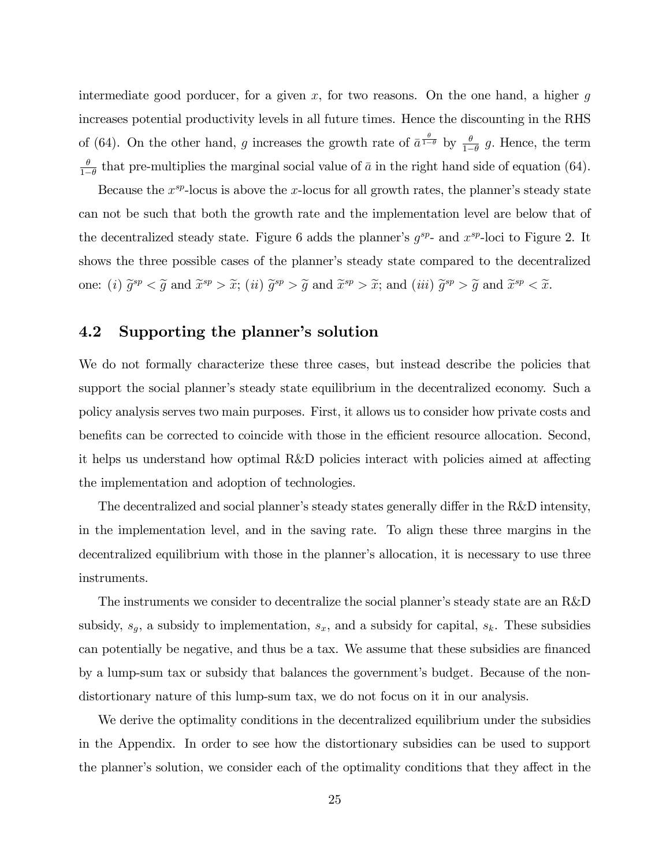intermediate good porducer, for a given  $x$ , for two reasons. On the one hand, a higher  $g$ increases potential productivity levels in all future times. Hence the discounting in the RHS of (64). On the other hand, g increases the growth rate of  $\bar{a}^{\frac{\theta}{1-\theta}}$  by  $\frac{\theta}{1-\theta}$  g. Hence, the term  $\theta$  $\frac{\theta}{1-\theta}$  that pre-multiplies the marginal social value of  $\bar{a}$  in the right hand side of equation (64).

Because the  $x^{sp}$ -locus is above the x-locus for all growth rates, the planner's steady state can not be such that both the growth rate and the implementation level are below that of the decentralized steady state. Figure 6 adds the planner's  $g^{sp}$ - and  $x^{sp}$ -loci to Figure 2. It shows the three possible cases of the planner's steady state compared to the decentralized one: (i)  $\widetilde{g}^{sp} < \widetilde{g}$  and  $\widetilde{x}^{sp} > \widetilde{x}$ ; (ii)  $\widetilde{g}^{sp} > \widetilde{g}$  and  $\widetilde{x}^{sp} > \widetilde{x}$ ; and (iii)  $\widetilde{g}^{sp} > \widetilde{g}$  and  $\widetilde{x}^{sp} < \widetilde{x}$ .

## 4.2 Supporting the planner's solution

We do not formally characterize these three cases, but instead describe the policies that support the social planner's steady state equilibrium in the decentralized economy. Such a policy analysis serves two main purposes. First, it allows us to consider how private costs and benefits can be corrected to coincide with those in the efficient resource allocation. Second, it helps us understand how optimal R&D policies interact with policies aimed at affecting the implementation and adoption of technologies.

The decentralized and social planner's steady states generally differ in the  $R\&D$  intensity, in the implementation level, and in the saving rate. To align these three margins in the decentralized equilibrium with those in the planner's allocation, it is necessary to use three instruments.

The instruments we consider to decentralize the social planner's steady state are an R&D subsidy,  $s_g$ , a subsidy to implementation,  $s_x$ , and a subsidy for capital,  $s_k$ . These subsidies can potentially be negative, and thus be a tax. We assume that these subsidies are financed by a lump-sum tax or subsidy that balances the government's budget. Because of the nondistortionary nature of this lump-sum tax, we do not focus on it in our analysis.

We derive the optimality conditions in the decentralized equilibrium under the subsidies in the Appendix. In order to see how the distortionary subsidies can be used to support the planner's solution, we consider each of the optimality conditions that they affect in the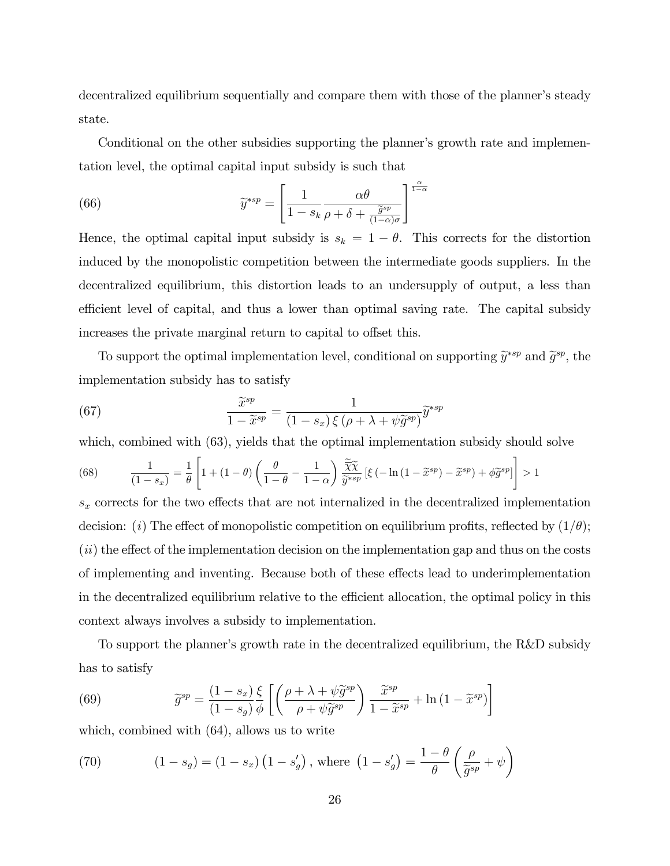decentralized equilibrium sequentially and compare them with those of the planner's steady state.

Conditional on the other subsidies supporting the planner's growth rate and implementation level, the optimal capital input subsidy is such that

(66) 
$$
\widetilde{y}^{*sp} = \left[\frac{1}{1 - s_k} \frac{\alpha \theta}{\rho + \delta + \frac{\widetilde{g}^{sp}}{(1 - \alpha)\sigma}}\right]^{\frac{\alpha}{1 - \alpha}}
$$

Hence, the optimal capital input subsidy is  $s_k = 1 - \theta$ . This corrects for the distortion induced by the monopolistic competition between the intermediate goods suppliers. In the decentralized equilibrium, this distortion leads to an undersupply of output, a less than efficient level of capital, and thus a lower than optimal saving rate. The capital subsidy increases the private marginal return to capital to offset this.

To support the optimal implementation level, conditional on supporting  $\widetilde{y}^{*sp}$  and  $\widetilde{g}^{sp}$ , the implementation subsidy has to satisfy

(67) 
$$
\frac{\widetilde{x}^{sp}}{1-\widetilde{x}^{sp}} = \frac{1}{(1-s_x)\xi(\rho+\lambda+\psi\widetilde{g}^{sp})}\widetilde{y}^{*sp}
$$

which, combined with  $(63)$ , yields that the optimal implementation subsidy should solve

(68) 
$$
\frac{1}{(1-s_x)} = \frac{1}{\theta} \left[ 1 + (1-\theta) \left( \frac{\theta}{1-\theta} - \frac{1}{1-\alpha} \right) \frac{\widetilde{\chi}\widetilde{\chi}}{\widetilde{y}^{*sp}} \left[ \xi \left( -\ln(1-\widetilde{x}^{sp}) - \widetilde{x}^{sp} \right) + \phi \widetilde{g}^{sp} \right] \right] > 1
$$

 $s_x$  corrects for the two effects that are not internalized in the decentralized implementation decision: (i) The effect of monopolistic competition on equilibrium profits, reflected by  $(1/\theta)$ ;  $(ii)$  the effect of the implementation decision on the implementation gap and thus on the costs of implementing and inventing. Because both of these effects lead to underimplementation in the decentralized equilibrium relative to the efficient allocation, the optimal policy in this context always involves a subsidy to implementation.

To support the planner's growth rate in the decentralized equilibrium, the R&D subsidy has to satisfy

(69) 
$$
\widetilde{g}^{sp} = \frac{(1 - s_x)}{(1 - s_g)} \frac{\xi}{\phi} \left[ \left( \frac{\rho + \lambda + \psi \widetilde{g}^{sp}}{\rho + \psi \widetilde{g}^{sp}} \right) \frac{\widetilde{x}^{sp}}{1 - \widetilde{x}^{sp}} + \ln(1 - \widetilde{x}^{sp}) \right]
$$

which, combined with (64), allows us to write

(70) 
$$
(1 - s_g) = (1 - s_x) (1 - s'_g), \text{ where } (1 - s'_g) = \frac{1 - \theta}{\theta} \left( \frac{\rho}{\tilde{g}^{sp}} + \psi \right)
$$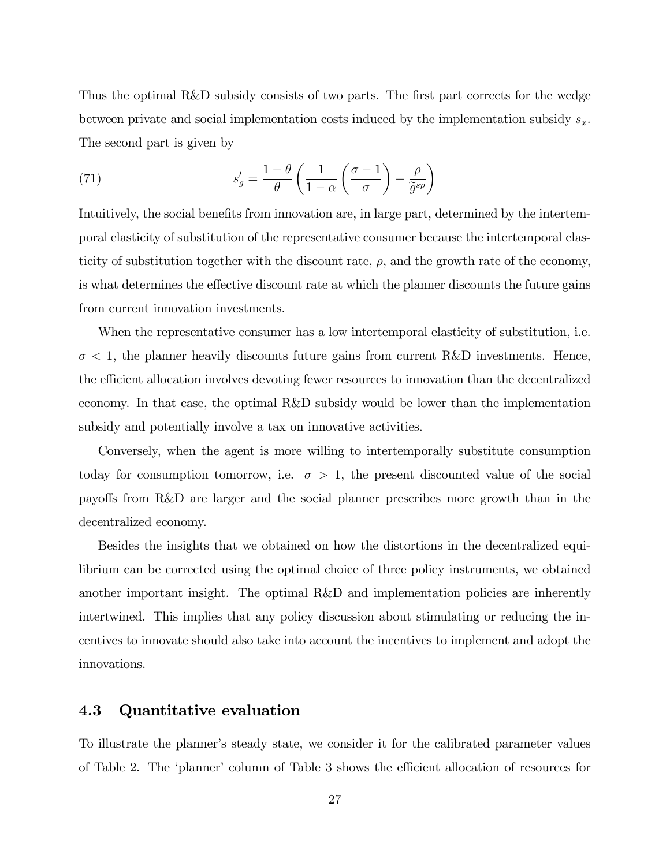Thus the optimal R&D subsidy consists of two parts. The first part corrects for the wedge between private and social implementation costs induced by the implementation subsidy  $s_x$ . The second part is given by

(71) 
$$
s'_{g} = \frac{1-\theta}{\theta} \left( \frac{1}{1-\alpha} \left( \frac{\sigma-1}{\sigma} \right) - \frac{\rho}{\widetilde{g}^{sp}} \right)
$$

Intuitively, the social benefits from innovation are, in large part, determined by the intertemporal elasticity of substitution of the representative consumer because the intertemporal elasticity of substitution together with the discount rate,  $\rho$ , and the growth rate of the economy, is what determines the effective discount rate at which the planner discounts the future gains from current innovation investments.

When the representative consumer has a low intertemporal elasticity of substitution, i.e.  $\sigma$  < 1, the planner heavily discounts future gains from current R&D investments. Hence, the efficient allocation involves devoting fewer resources to innovation than the decentralized economy. In that case, the optimal R&D subsidy would be lower than the implementation subsidy and potentially involve a tax on innovative activities.

Conversely, when the agent is more willing to intertemporally substitute consumption today for consumption tomorrow, i.e.  $\sigma > 1$ , the present discounted value of the social payo§s from R&D are larger and the social planner prescribes more growth than in the decentralized economy.

Besides the insights that we obtained on how the distortions in the decentralized equilibrium can be corrected using the optimal choice of three policy instruments, we obtained another important insight. The optimal R&D and implementation policies are inherently intertwined. This implies that any policy discussion about stimulating or reducing the incentives to innovate should also take into account the incentives to implement and adopt the innovations.

## 4.3 Quantitative evaluation

To illustrate the plannerís steady state, we consider it for the calibrated parameter values of Table 2. The 'planner' column of Table 3 shows the efficient allocation of resources for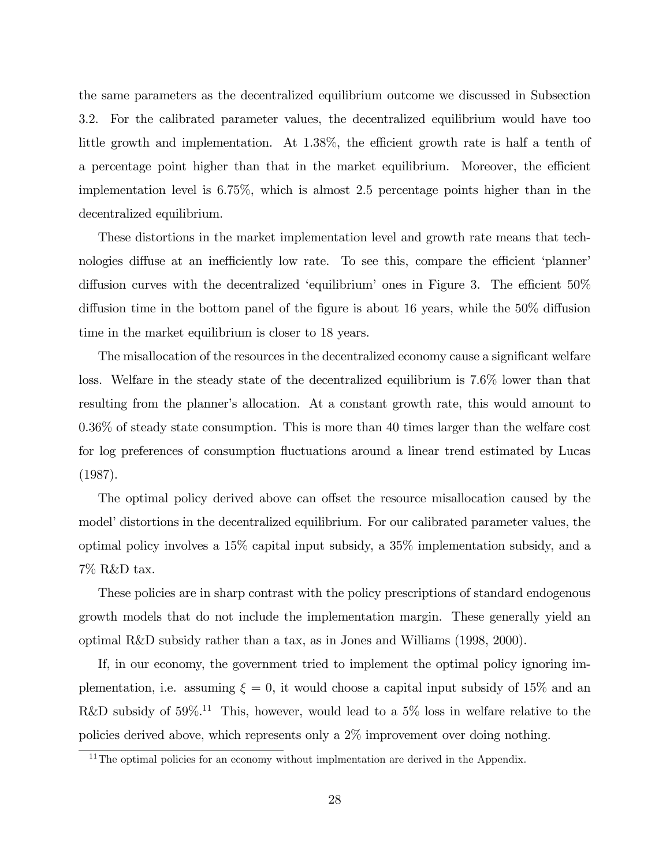the same parameters as the decentralized equilibrium outcome we discussed in Subsection 3.2. For the calibrated parameter values, the decentralized equilibrium would have too little growth and implementation. At  $1.38\%$ , the efficient growth rate is half a tenth of a percentage point higher than that in the market equilibrium. Moreover, the efficient implementation level is 6.75%, which is almost 2.5 percentage points higher than in the decentralized equilibrium.

These distortions in the market implementation level and growth rate means that technologies diffuse at an inefficiently low rate. To see this, compare the efficient 'planner' diffusion curves with the decentralized 'equilibrium' ones in Figure 3. The efficient  $50\%$ diffusion time in the bottom panel of the figure is about 16 years, while the  $50\%$  diffusion time in the market equilibrium is closer to 18 years.

The misallocation of the resources in the decentralized economy cause a significant welfare loss. Welfare in the steady state of the decentralized equilibrium is 7.6% lower than that resulting from the planner's allocation. At a constant growth rate, this would amount to 0.36% of steady state consumption. This is more than 40 times larger than the welfare cost for log preferences of consumption fluctuations around a linear trend estimated by Lucas (1987).

The optimal policy derived above can offset the resource misallocation caused by the model' distortions in the decentralized equilibrium. For our calibrated parameter values, the optimal policy involves a 15% capital input subsidy, a 35% implementation subsidy, and a 7% R&D tax.

These policies are in sharp contrast with the policy prescriptions of standard endogenous growth models that do not include the implementation margin. These generally yield an optimal R&D subsidy rather than a tax, as in Jones and Williams (1998, 2000).

If, in our economy, the government tried to implement the optimal policy ignoring implementation, i.e. assuming  $\xi = 0$ , it would choose a capital input subsidy of 15% and an R&D subsidy of  $59\%$ .<sup>11</sup> This, however, would lead to a  $5\%$  loss in welfare relative to the policies derived above, which represents only a 2% improvement over doing nothing.

 $11$ The optimal policies for an economy without implmentation are derived in the Appendix.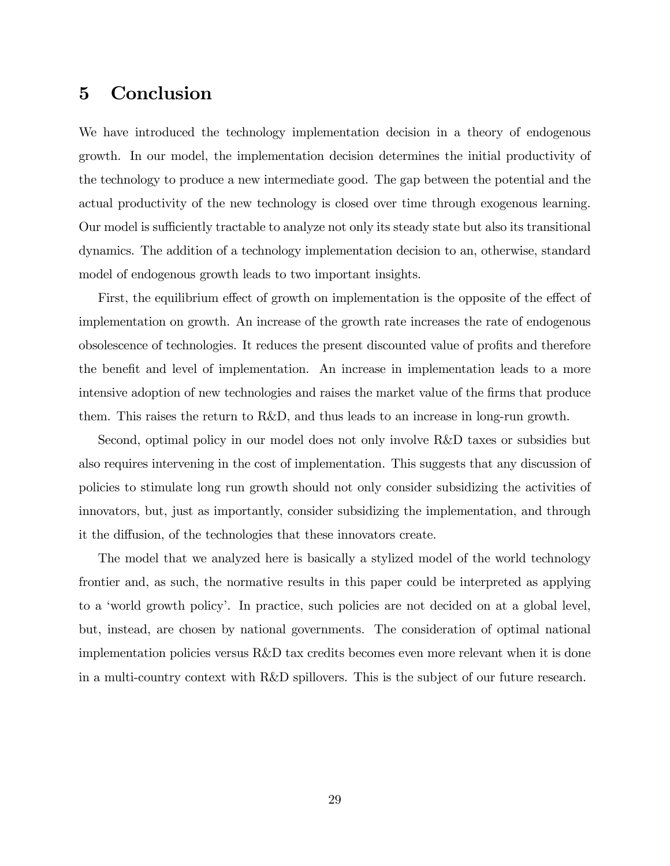## 5 Conclusion

We have introduced the technology implementation decision in a theory of endogenous growth. In our model, the implementation decision determines the initial productivity of the technology to produce a new intermediate good. The gap between the potential and the actual productivity of the new technology is closed over time through exogenous learning. Our model is sufficiently tractable to analyze not only its steady state but also its transitional dynamics. The addition of a technology implementation decision to an, otherwise, standard model of endogenous growth leads to two important insights.

First, the equilibrium effect of growth on implementation is the opposite of the effect of implementation on growth. An increase of the growth rate increases the rate of endogenous obsolescence of technologies. It reduces the present discounted value of profits and therefore the benefit and level of implementation. An increase in implementation leads to a more intensive adoption of new technologies and raises the market value of the firms that produce them. This raises the return to R&D, and thus leads to an increase in long-run growth.

Second, optimal policy in our model does not only involve R&D taxes or subsidies but also requires intervening in the cost of implementation. This suggests that any discussion of policies to stimulate long run growth should not only consider subsidizing the activities of innovators, but, just as importantly, consider subsidizing the implementation, and through it the diffusion, of the technologies that these innovators create.

The model that we analyzed here is basically a stylized model of the world technology frontier and, as such, the normative results in this paper could be interpreted as applying to a ëworld growth policyí. In practice, such policies are not decided on at a global level, but, instead, are chosen by national governments. The consideration of optimal national implementation policies versus R&D tax credits becomes even more relevant when it is done in a multi-country context with R&D spillovers. This is the subject of our future research.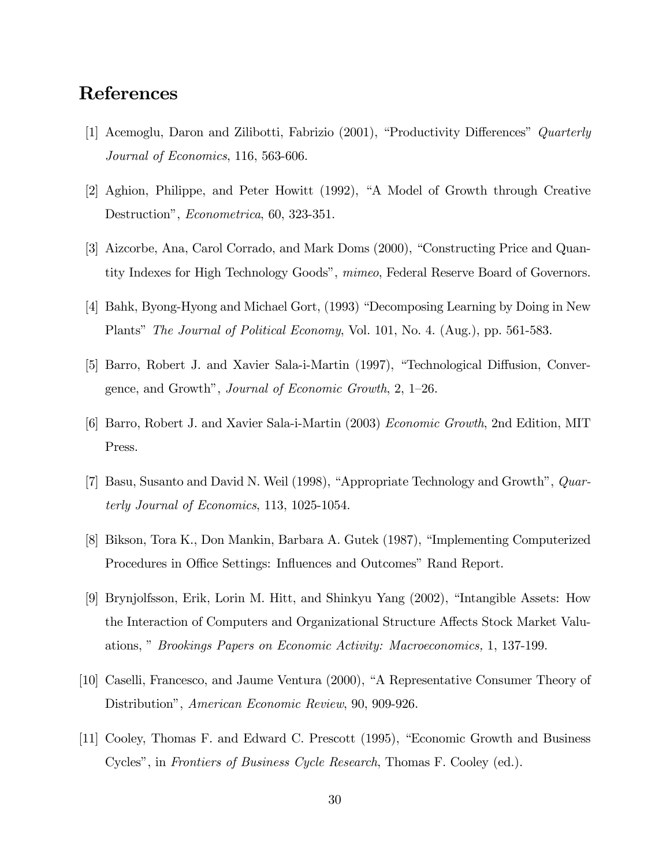# References

- [1] Acemoglu, Daron and Zilibotti, Fabrizio  $(2001)$ , "Productivity Differences" Quarterly Journal of Economics, 116, 563-606.
- [2] Aghion, Philippe, and Peter Howitt (1992), "A Model of Growth through Creative Destruction", *Econometrica*, 60, 323-351.
- [3] Aizcorbe, Ana, Carol Corrado, and Mark Doms (2000), "Constructing Price and Quantity Indexes for High Technology Goods", mimeo, Federal Reserve Board of Governors.
- [4] Bahk, Byong-Hyong and Michael Gort, (1993) "Decomposing Learning by Doing in New Plants" The Journal of Political Economy, Vol. 101, No. 4. (Aug.), pp. 561-583.
- [5] Barro, Robert J. and Xavier Sala-i-Martin (1997), "Technological Diffusion, Convergence, and Growth", *Journal of Economic Growth*,  $2, 1-26$ .
- [6] Barro, Robert J. and Xavier Sala-i-Martin (2003) Economic Growth, 2nd Edition, MIT Press.
- [7] Basu, Susanto and David N. Weil  $(1998)$ , "Appropriate Technology and Growth",  $Quar$ terly Journal of Economics, 113, 1025-1054.
- [8] Bikson, Tora K., Don Mankin, Barbara A. Gutek (1987), "Implementing Computerized Procedures in Office Settings: Influences and Outcomes" Rand Report.
- [9] Brynjolfsson, Erik, Lorin M. Hitt, and Shinkyu Yang (2002), "Intangible Assets: How the Interaction of Computers and Organizational Structure Affects Stock Market Valuations," Brookings Papers on Economic Activity: Macroeconomics, 1, 137-199.
- [10] Caselli, Francesco, and Jaume Ventura (2000), "A Representative Consumer Theory of Distribution", American Economic Review, 90, 909-926.
- [11] Cooley, Thomas F. and Edward C. Prescott (1995), "Economic Growth and Business Cycles", in Frontiers of Business Cycle Research, Thomas F. Cooley (ed.).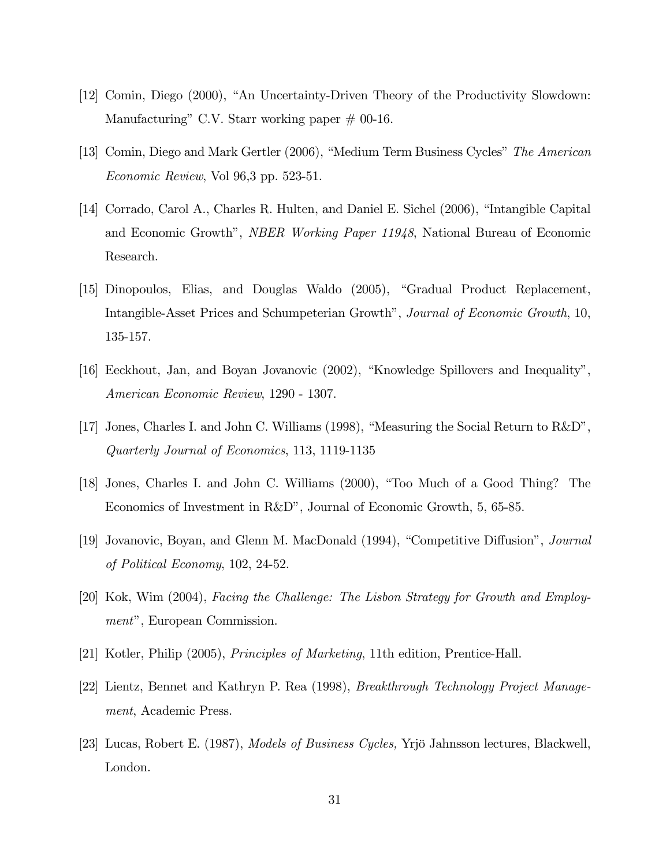- [12] Comin, Diego (2000), "An Uncertainty-Driven Theory of the Productivity Slowdown: Manufacturing" C.V. Starr working paper  $\#$  00-16.
- [13] Comin, Diego and Mark Gertler (2006), "Medium Term Business Cycles" The American Economic Review, Vol 96,3 pp. 523-51.
- [14] Corrado, Carol A., Charles R. Hulten, and Daniel E. Sichel (2006), "Intangible Capital and Economic Growth", *NBER Working Paper 11948*, National Bureau of Economic Research.
- [15] Dinopoulos, Elias, and Douglas Waldo (2005), "Gradual Product Replacement, Intangible-Asset Prices and Schumpeterian Growth<sup>n</sup>, Journal of Economic Growth, 10, 135-157.
- [16] Eeckhout, Jan, and Boyan Jovanovic (2002), "Knowledge Spillovers and Inequality", American Economic Review, 1290 - 1307.
- [17] Jones, Charles I. and John C. Williams (1998), "Measuring the Social Return to  $R&D$ ", Quarterly Journal of Economics, 113, 1119-1135
- [18] Jones, Charles I. and John C. Williams (2000), "Too Much of a Good Thing? The Economics of Investment in R&Dî, Journal of Economic Growth, 5, 65-85.
- [19] Jovanovic, Boyan, and Glenn M. MacDonald (1994), "Competitive Diffusion", Journal of Political Economy, 102, 24-52.
- [20] Kok, Wim (2004), Facing the Challenge: The Lisbon Strategy for Growth and Employment", European Commission.
- [21] Kotler, Philip (2005), Principles of Marketing, 11th edition, Prentice-Hall.
- [22] Lientz, Bennet and Kathryn P. Rea (1998), Breakthrough Technology Project Management, Academic Press.
- [23] Lucas, Robert E. (1987), *Models of Business Cycles*, Yrjö Jahnsson lectures, Blackwell, London.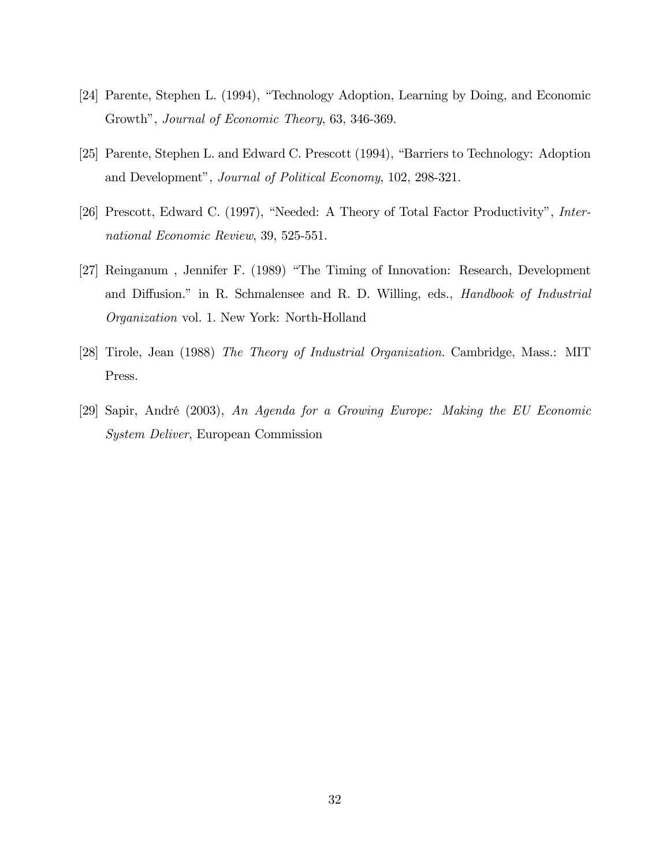- [24] Parente, Stephen L. (1994), "Technology Adoption, Learning by Doing, and Economic Growth", Journal of Economic Theory, 63, 346-369.
- [25] Parente, Stephen L. and Edward C. Prescott (1994), "Barriers to Technology: Adoption and Development", Journal of Political Economy, 102, 298-321.
- [26] Prescott, Edward C. (1997), "Needed: A Theory of Total Factor Productivity", International Economic Review, 39, 525-551.
- [27] Reinganum, Jennifer F. (1989) "The Timing of Innovation: Research, Development and Diffusion." in R. Schmalensee and R. D. Willing, eds., *Handbook of Industrial* Organization vol. 1. New York: North-Holland
- [28] Tirole, Jean (1988) The Theory of Industrial Organization. Cambridge, Mass.: MIT Press.
- [29] Sapir, André (2003), An Agenda for a Growing Europe: Making the EU Economic System Deliver, European Commission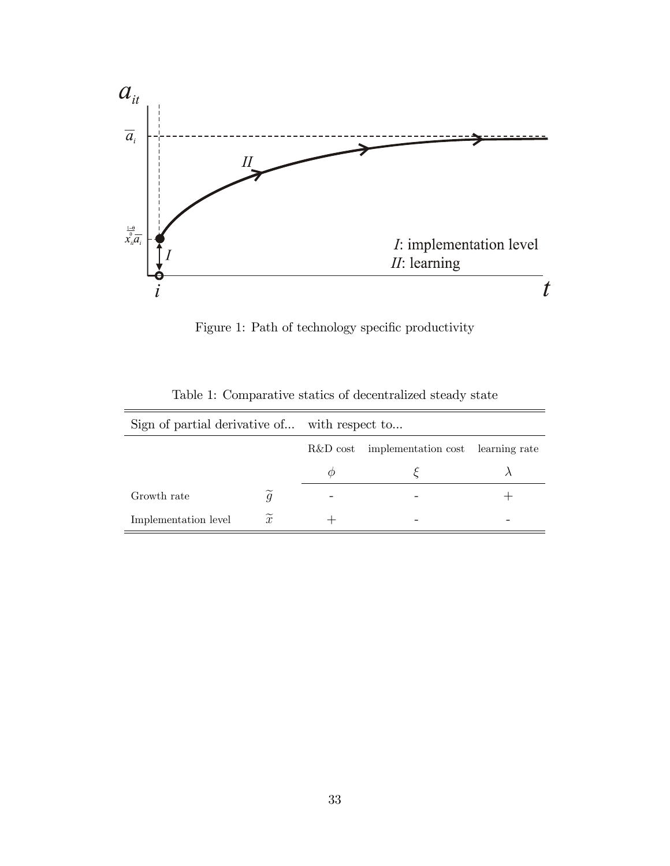

Figure 1: Path of technology specific productivity

| Sign of partial derivative of with respect to |                  |          |                                   |  |  |
|-----------------------------------------------|------------------|----------|-----------------------------------|--|--|
|                                               |                  | R&D cost | implementation cost learning rate |  |  |
|                                               |                  |          |                                   |  |  |
| Growth rate                                   |                  |          |                                   |  |  |
| Implementation level                          | $\boldsymbol{x}$ |          |                                   |  |  |

Table 1: Comparative statics of decentralized steady state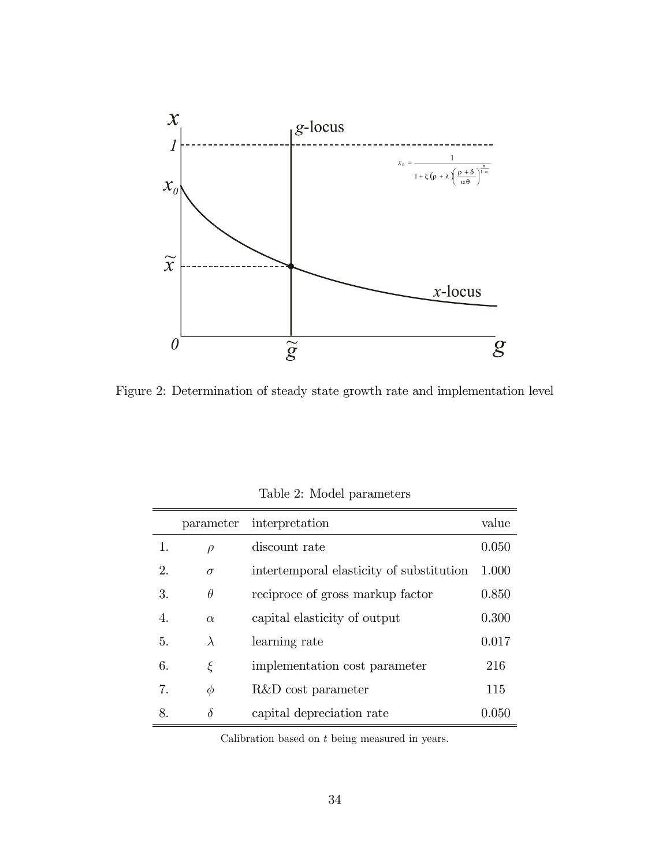

Figure 2: Determination of steady state growth rate and implementation level

|                  | parameter | interpretation                           | value |
|------------------|-----------|------------------------------------------|-------|
| 1.               | $\rho$    | discount rate                            | 0.050 |
| $\mathfrak{D}$ . | $\sigma$  | intertemporal elasticity of substitution | 1.000 |
| 3.               | $\theta$  | reciproce of gross markup factor         | 0.850 |
| 4.               | $\alpha$  | capital elasticity of output             | 0.300 |
| 5.               | $\lambda$ | learning rate                            | 0.017 |
| 6.               | ε         | implementation cost parameter            | 216   |
| 7.               | $\phi$    | R&D cost parameter                       | 115   |
| 8.               | $\delta$  | capital depreciation rate                | 0.050 |

Table 2: Model parameters

Calibration based on t being measured in years.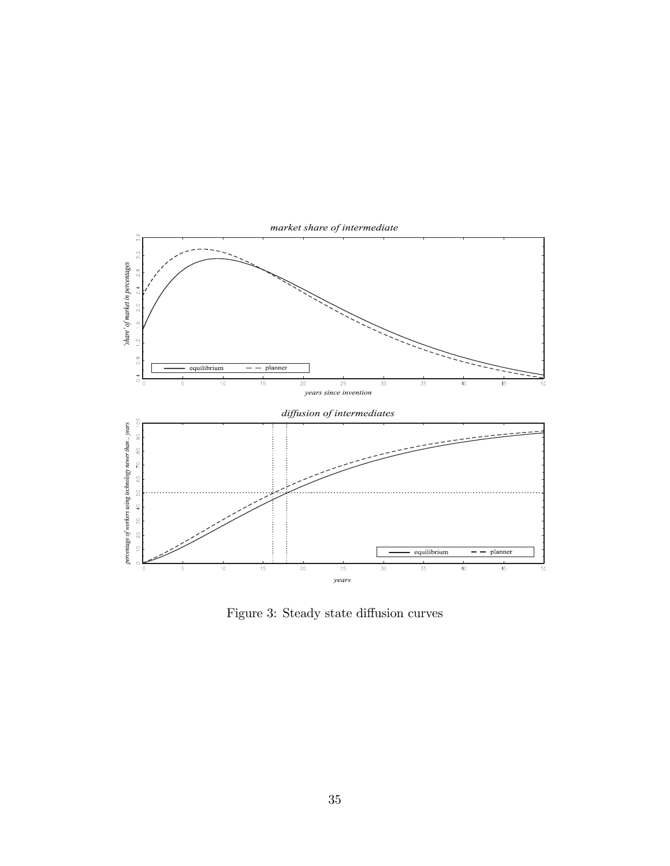

Figure 3: Steady state diffusion curves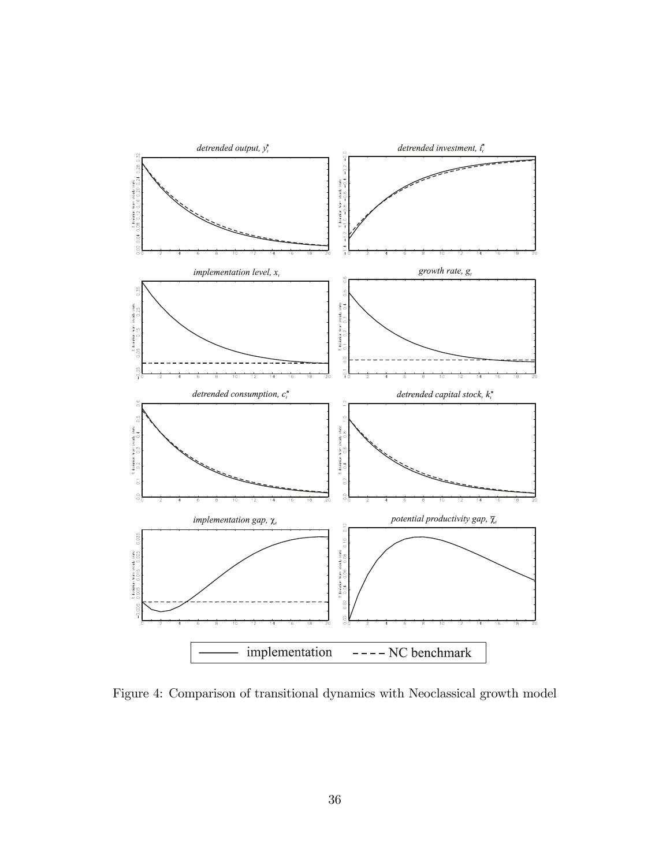

Figure 4: Comparison of transitional dynamics with Neoclassical growth model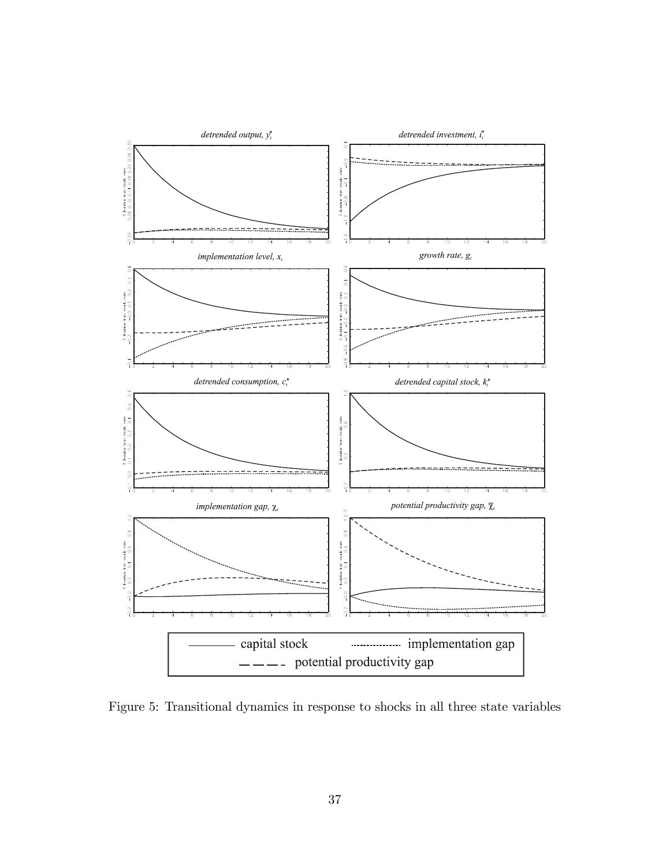

Figure 5: Transitional dynamics in response to shocks in all three state variables